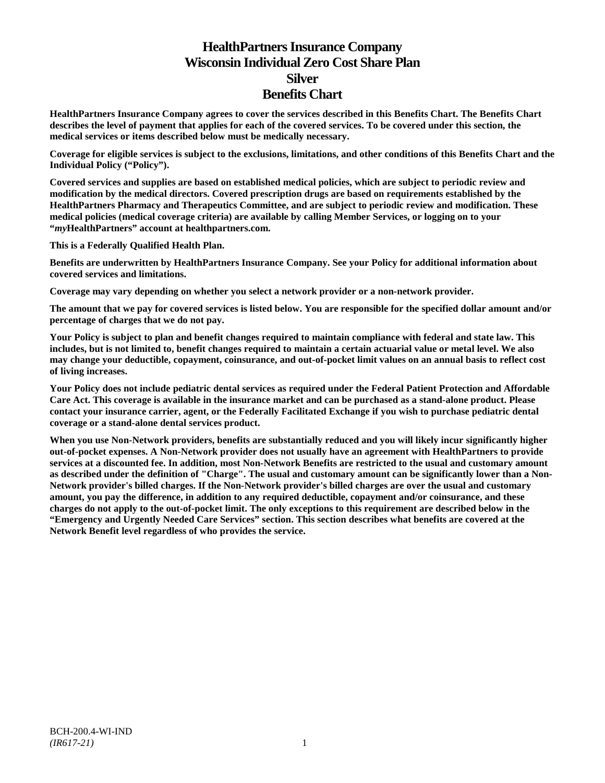# **HealthPartners Insurance Company Wisconsin Individual Zero Cost Share Plan Silver Benefits Chart**

**HealthPartners Insurance Company agrees to cover the services described in this Benefits Chart. The Benefits Chart describes the level of payment that applies for each of the covered services. To be covered under this section, the medical services or items described below must be medically necessary.**

**Coverage for eligible services is subject to the exclusions, limitations, and other conditions of this Benefits Chart and the Individual Policy ("Policy").**

**Covered services and supplies are based on established medical policies, which are subject to periodic review and modification by the medical directors. Covered prescription drugs are based on requirements established by the HealthPartners Pharmacy and Therapeutics Committee, and are subject to periodic review and modification. These medical policies (medical coverage criteria) are available by calling Member Services, or logging on to your "***my***HealthPartners" account at [healthpartners.com.](http://www.healthpartners.com/)**

**This is a Federally Qualified Health Plan.**

**Benefits are underwritten by HealthPartners Insurance Company. See your Policy for additional information about covered services and limitations.**

**Coverage may vary depending on whether you select a network provider or a non-network provider.**

**The amount that we pay for covered services is listed below. You are responsible for the specified dollar amount and/or percentage of charges that we do not pay.**

**Your Policy is subject to plan and benefit changes required to maintain compliance with federal and state law. This includes, but is not limited to, benefit changes required to maintain a certain actuarial value or metal level. We also may change your deductible, copayment, coinsurance, and out-of-pocket limit values on an annual basis to reflect cost of living increases.**

**Your Policy does not include pediatric dental services as required under the Federal Patient Protection and Affordable Care Act. This coverage is available in the insurance market and can be purchased as a stand-alone product. Please contact your insurance carrier, agent, or the Federally Facilitated Exchange if you wish to purchase pediatric dental coverage or a stand-alone dental services product.**

**When you use Non-Network providers, benefits are substantially reduced and you will likely incur significantly higher out-of-pocket expenses. A Non-Network provider does not usually have an agreement with HealthPartners to provide services at a discounted fee. In addition, most Non-Network Benefits are restricted to the usual and customary amount as described under the definition of "Charge". The usual and customary amount can be significantly lower than a Non-Network provider's billed charges. If the Non-Network provider's billed charges are over the usual and customary amount, you pay the difference, in addition to any required deductible, copayment and/or coinsurance, and these charges do not apply to the out-of-pocket limit. The only exceptions to this requirement are described below in the "Emergency and Urgently Needed Care Services" section. This section describes what benefits are covered at the Network Benefit level regardless of who provides the service.**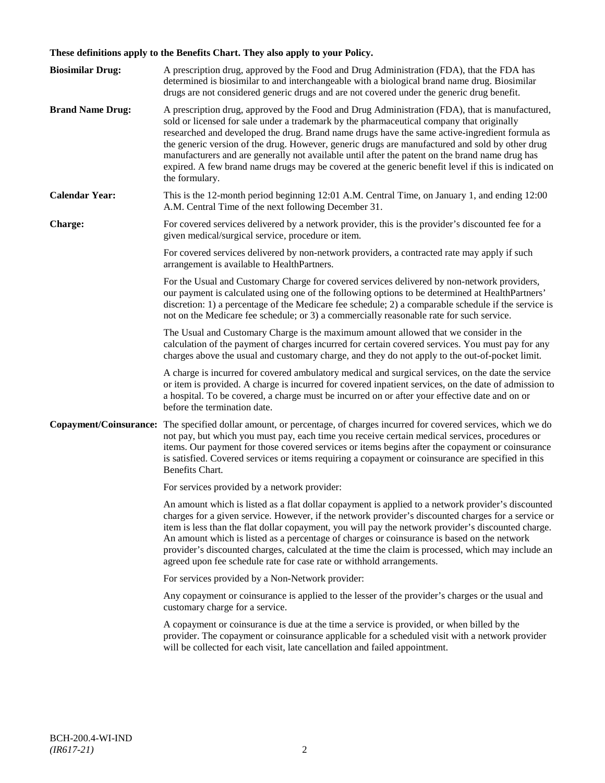## **These definitions apply to the Benefits Chart. They also apply to your Policy.**

| <b>Biosimilar Drug:</b> | A prescription drug, approved by the Food and Drug Administration (FDA), that the FDA has<br>determined is biosimilar to and interchangeable with a biological brand name drug. Biosimilar<br>drugs are not considered generic drugs and are not covered under the generic drug benefit.                                                                                                                                                                                                                                                                                                                                     |
|-------------------------|------------------------------------------------------------------------------------------------------------------------------------------------------------------------------------------------------------------------------------------------------------------------------------------------------------------------------------------------------------------------------------------------------------------------------------------------------------------------------------------------------------------------------------------------------------------------------------------------------------------------------|
| <b>Brand Name Drug:</b> | A prescription drug, approved by the Food and Drug Administration (FDA), that is manufactured,<br>sold or licensed for sale under a trademark by the pharmaceutical company that originally<br>researched and developed the drug. Brand name drugs have the same active-ingredient formula as<br>the generic version of the drug. However, generic drugs are manufactured and sold by other drug<br>manufacturers and are generally not available until after the patent on the brand name drug has<br>expired. A few brand name drugs may be covered at the generic benefit level if this is indicated on<br>the formulary. |
| <b>Calendar Year:</b>   | This is the 12-month period beginning 12:01 A.M. Central Time, on January 1, and ending 12:00<br>A.M. Central Time of the next following December 31.                                                                                                                                                                                                                                                                                                                                                                                                                                                                        |
| Charge:                 | For covered services delivered by a network provider, this is the provider's discounted fee for a<br>given medical/surgical service, procedure or item.                                                                                                                                                                                                                                                                                                                                                                                                                                                                      |
|                         | For covered services delivered by non-network providers, a contracted rate may apply if such<br>arrangement is available to HealthPartners.                                                                                                                                                                                                                                                                                                                                                                                                                                                                                  |
|                         | For the Usual and Customary Charge for covered services delivered by non-network providers,<br>our payment is calculated using one of the following options to be determined at HealthPartners'<br>discretion: 1) a percentage of the Medicare fee schedule; 2) a comparable schedule if the service is<br>not on the Medicare fee schedule; or 3) a commercially reasonable rate for such service.                                                                                                                                                                                                                          |
|                         | The Usual and Customary Charge is the maximum amount allowed that we consider in the<br>calculation of the payment of charges incurred for certain covered services. You must pay for any<br>charges above the usual and customary charge, and they do not apply to the out-of-pocket limit.                                                                                                                                                                                                                                                                                                                                 |
|                         | A charge is incurred for covered ambulatory medical and surgical services, on the date the service<br>or item is provided. A charge is incurred for covered inpatient services, on the date of admission to<br>a hospital. To be covered, a charge must be incurred on or after your effective date and on or<br>before the termination date.                                                                                                                                                                                                                                                                                |
| Copayment/Coinsurance:  | The specified dollar amount, or percentage, of charges incurred for covered services, which we do<br>not pay, but which you must pay, each time you receive certain medical services, procedures or<br>items. Our payment for those covered services or items begins after the copayment or coinsurance<br>is satisfied. Covered services or items requiring a copayment or coinsurance are specified in this<br>Benefits Chart.                                                                                                                                                                                             |
|                         | For services provided by a network provider:                                                                                                                                                                                                                                                                                                                                                                                                                                                                                                                                                                                 |
|                         | An amount which is listed as a flat dollar copayment is applied to a network provider's discounted<br>charges for a given service. However, if the network provider's discounted charges for a service or<br>item is less than the flat dollar copayment, you will pay the network provider's discounted charge.<br>An amount which is listed as a percentage of charges or coinsurance is based on the network<br>provider's discounted charges, calculated at the time the claim is processed, which may include an<br>agreed upon fee schedule rate for case rate or withhold arrangements.                               |
|                         | For services provided by a Non-Network provider:                                                                                                                                                                                                                                                                                                                                                                                                                                                                                                                                                                             |
|                         | Any copayment or coinsurance is applied to the lesser of the provider's charges or the usual and<br>customary charge for a service.                                                                                                                                                                                                                                                                                                                                                                                                                                                                                          |
|                         | A copayment or coinsurance is due at the time a service is provided, or when billed by the<br>provider. The copayment or coinsurance applicable for a scheduled visit with a network provider<br>will be collected for each visit, late cancellation and failed appointment.                                                                                                                                                                                                                                                                                                                                                 |
|                         |                                                                                                                                                                                                                                                                                                                                                                                                                                                                                                                                                                                                                              |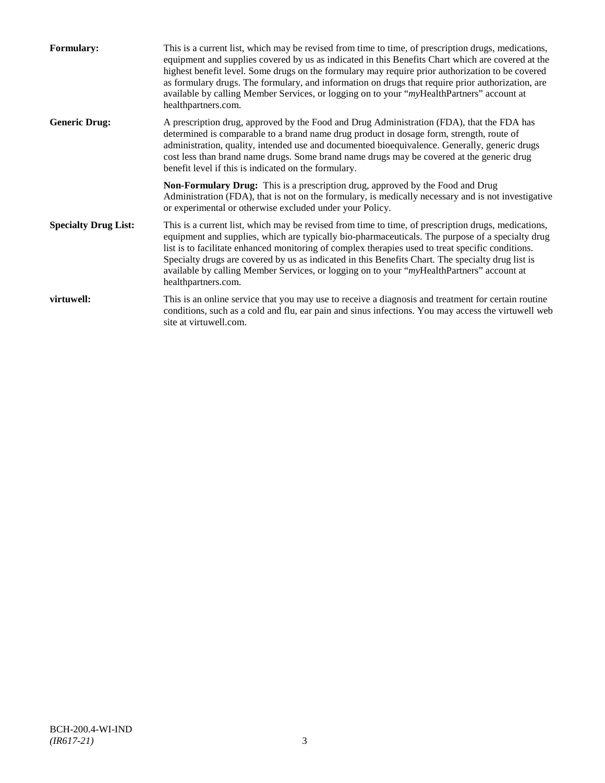| <b>Formulary:</b>           | This is a current list, which may be revised from time to time, of prescription drugs, medications,<br>equipment and supplies covered by us as indicated in this Benefits Chart which are covered at the<br>highest benefit level. Some drugs on the formulary may require prior authorization to be covered<br>as formulary drugs. The formulary, and information on drugs that require prior authorization, are<br>available by calling Member Services, or logging on to your "myHealthPartners" account at<br>healthpartners.com. |
|-----------------------------|---------------------------------------------------------------------------------------------------------------------------------------------------------------------------------------------------------------------------------------------------------------------------------------------------------------------------------------------------------------------------------------------------------------------------------------------------------------------------------------------------------------------------------------|
| <b>Generic Drug:</b>        | A prescription drug, approved by the Food and Drug Administration (FDA), that the FDA has<br>determined is comparable to a brand name drug product in dosage form, strength, route of<br>administration, quality, intended use and documented bioequivalence. Generally, generic drugs<br>cost less than brand name drugs. Some brand name drugs may be covered at the generic drug<br>benefit level if this is indicated on the formulary.                                                                                           |
|                             | <b>Non-Formulary Drug:</b> This is a prescription drug, approved by the Food and Drug<br>Administration (FDA), that is not on the formulary, is medically necessary and is not investigative<br>or experimental or otherwise excluded under your Policy.                                                                                                                                                                                                                                                                              |
| <b>Specialty Drug List:</b> | This is a current list, which may be revised from time to time, of prescription drugs, medications,<br>equipment and supplies, which are typically bio-pharmaceuticals. The purpose of a specialty drug<br>list is to facilitate enhanced monitoring of complex therapies used to treat specific conditions.<br>Specialty drugs are covered by us as indicated in this Benefits Chart. The specialty drug list is<br>available by calling Member Services, or logging on to your "myHealthPartners" account at<br>healthpartners.com. |
| virtuwell:                  | This is an online service that you may use to receive a diagnosis and treatment for certain routine<br>conditions, such as a cold and flu, ear pain and sinus infections. You may access the virtuwell web<br>site at virtuwell.com.                                                                                                                                                                                                                                                                                                  |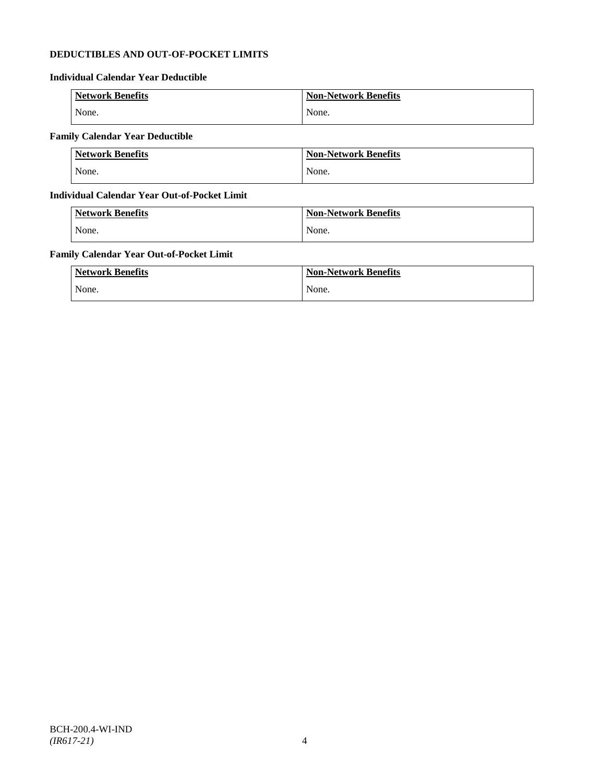## **DEDUCTIBLES AND OUT-OF-POCKET LIMITS**

## **Individual Calendar Year Deductible**

| <b>Network Benefits</b> | <b>Non-Network Benefits</b> |
|-------------------------|-----------------------------|
| None.                   | None.                       |

# **Family Calendar Year Deductible**

| <b>Network Benefits</b> | <b>Non-Network Benefits</b> |
|-------------------------|-----------------------------|
| None.                   | None.                       |

### **Individual Calendar Year Out-of-Pocket Limit**

| <b>Network Benefits</b> | <b>Non-Network Benefits</b> |
|-------------------------|-----------------------------|
| None.                   | None.                       |

## **Family Calendar Year Out-of-Pocket Limit**

| <b>Network Benefits</b> | <b>Non-Network Benefits</b> |
|-------------------------|-----------------------------|
| None.                   | None.                       |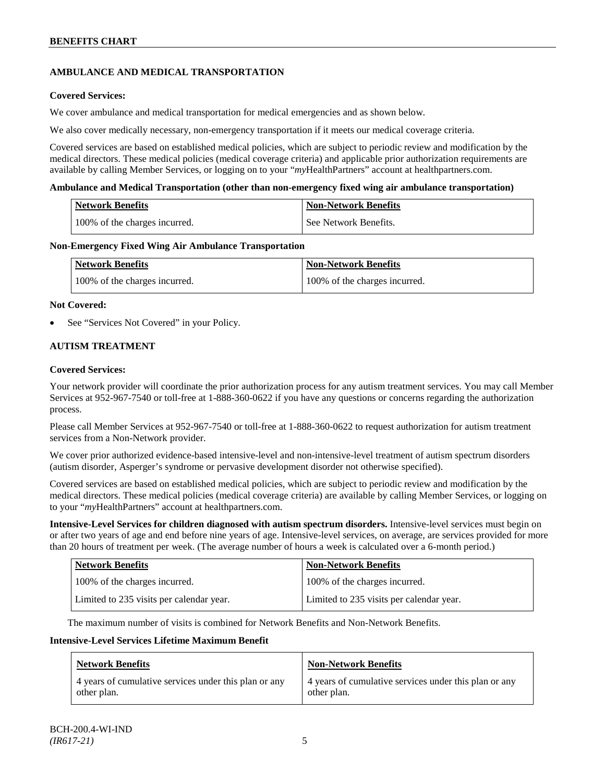## **AMBULANCE AND MEDICAL TRANSPORTATION**

### **Covered Services:**

We cover ambulance and medical transportation for medical emergencies and as shown below.

We also cover medically necessary, non-emergency transportation if it meets our medical coverage criteria.

Covered services are based on established medical policies, which are subject to periodic review and modification by the medical directors. These medical policies (medical coverage criteria) and applicable prior authorization requirements are available by calling Member Services, or logging on to your "*my*HealthPartners" account a[t healthpartners.com.](http://www.healthpartners.com/)

### **Ambulance and Medical Transportation (other than non-emergency fixed wing air ambulance transportation)**

| Network Benefits              | <b>Non-Network Benefits</b> |
|-------------------------------|-----------------------------|
| 100% of the charges incurred. | See Network Benefits.       |

### **Non-Emergency Fixed Wing Air Ambulance Transportation**

| <b>Network Benefits</b>       | <b>Non-Network Benefits</b>   |
|-------------------------------|-------------------------------|
| 100% of the charges incurred. | 100% of the charges incurred. |

### **Not Covered:**

See "Services Not Covered" in your Policy.

### **AUTISM TREATMENT**

### **Covered Services:**

Your network provider will coordinate the prior authorization process for any autism treatment services. You may call Member Services at 952-967-7540 or toll-free at 1-888-360-0622 if you have any questions or concerns regarding the authorization process.

Please call Member Services at 952-967-7540 or toll-free at 1-888-360-0622 to request authorization for autism treatment services from a Non-Network provider.

We cover prior authorized evidence-based intensive-level and non-intensive-level treatment of autism spectrum disorders (autism disorder, Asperger's syndrome or pervasive development disorder not otherwise specified).

Covered services are based on established medical policies, which are subject to periodic review and modification by the medical directors. These medical policies (medical coverage criteria) are available by calling Member Services, or logging on to your "*my*HealthPartners" account at [healthpartners.com.](http://www.healthpartners.com/)

**Intensive-Level Services for children diagnosed with autism spectrum disorders.** Intensive-level services must begin on or after two years of age and end before nine years of age. Intensive-level services, on average, are services provided for more than 20 hours of treatment per week. (The average number of hours a week is calculated over a 6-month period.)

| <b>Network Benefits</b>                  | <b>Non-Network Benefits</b>              |
|------------------------------------------|------------------------------------------|
| 100% of the charges incurred.            | 100% of the charges incurred.            |
| Limited to 235 visits per calendar year. | Limited to 235 visits per calendar year. |

The maximum number of visits is combined for Network Benefits and Non-Network Benefits.

#### **Intensive-Level Services Lifetime Maximum Benefit**

| <b>Network Benefits</b>                               | <b>Non-Network Benefits</b>                           |
|-------------------------------------------------------|-------------------------------------------------------|
| 4 years of cumulative services under this plan or any | 4 years of cumulative services under this plan or any |
| other plan.                                           | other plan.                                           |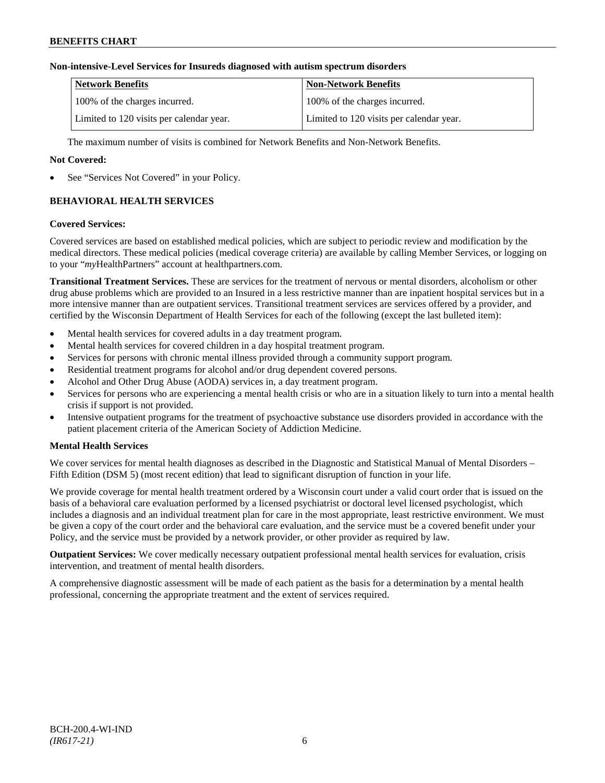### **Non-intensive-Level Services for Insureds diagnosed with autism spectrum disorders**

| Network Benefits                         | <b>Non-Network Benefits</b>              |
|------------------------------------------|------------------------------------------|
| 100% of the charges incurred.            | 100% of the charges incurred.            |
| Limited to 120 visits per calendar year. | Limited to 120 visits per calendar year. |

The maximum number of visits is combined for Network Benefits and Non-Network Benefits.

### **Not Covered:**

See "Services Not Covered" in your Policy.

## **BEHAVIORAL HEALTH SERVICES**

#### **Covered Services:**

Covered services are based on established medical policies, which are subject to periodic review and modification by the medical directors. These medical policies (medical coverage criteria) are available by calling Member Services, or logging on to your "*my*HealthPartners" account at [healthpartners.com.](http://www.healthpartners.com/)

**Transitional Treatment Services.** These are services for the treatment of nervous or mental disorders, alcoholism or other drug abuse problems which are provided to an Insured in a less restrictive manner than are inpatient hospital services but in a more intensive manner than are outpatient services. Transitional treatment services are services offered by a provider, and certified by the Wisconsin Department of Health Services for each of the following (except the last bulleted item):

- Mental health services for covered adults in a day treatment program.
- Mental health services for covered children in a day hospital treatment program.
- Services for persons with chronic mental illness provided through a community support program.
- Residential treatment programs for alcohol and/or drug dependent covered persons.
- Alcohol and Other Drug Abuse (AODA) services in, a day treatment program.
- Services for persons who are experiencing a mental health crisis or who are in a situation likely to turn into a mental health crisis if support is not provided.
- Intensive outpatient programs for the treatment of psychoactive substance use disorders provided in accordance with the patient placement criteria of the American Society of Addiction Medicine.

### **Mental Health Services**

We cover services for mental health diagnoses as described in the Diagnostic and Statistical Manual of Mental Disorders – Fifth Edition (DSM 5) (most recent edition) that lead to significant disruption of function in your life.

We provide coverage for mental health treatment ordered by a Wisconsin court under a valid court order that is issued on the basis of a behavioral care evaluation performed by a licensed psychiatrist or doctoral level licensed psychologist, which includes a diagnosis and an individual treatment plan for care in the most appropriate, least restrictive environment. We must be given a copy of the court order and the behavioral care evaluation, and the service must be a covered benefit under your Policy, and the service must be provided by a network provider, or other provider as required by law.

**Outpatient Services:** We cover medically necessary outpatient professional mental health services for evaluation, crisis intervention, and treatment of mental health disorders.

A comprehensive diagnostic assessment will be made of each patient as the basis for a determination by a mental health professional, concerning the appropriate treatment and the extent of services required.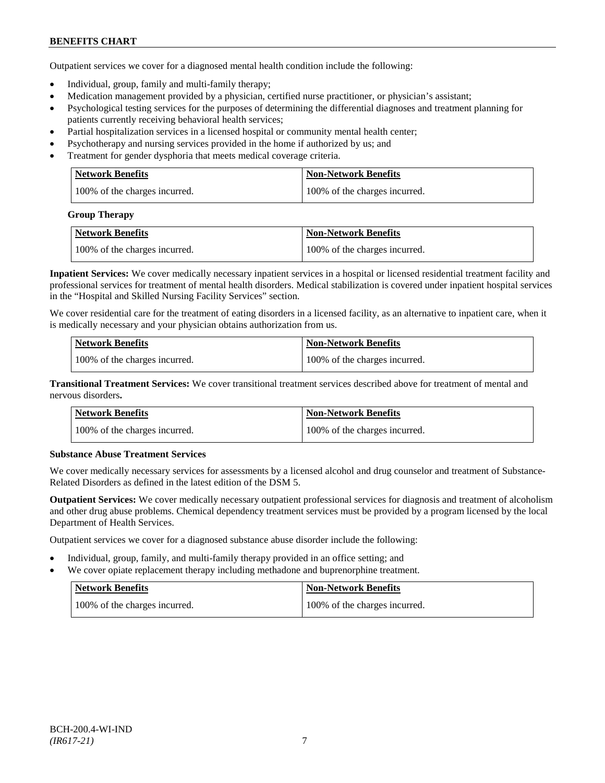Outpatient services we cover for a diagnosed mental health condition include the following:

- Individual, group, family and multi-family therapy;
- Medication management provided by a physician, certified nurse practitioner, or physician's assistant;
- Psychological testing services for the purposes of determining the differential diagnoses and treatment planning for patients currently receiving behavioral health services;
- Partial hospitalization services in a licensed hospital or community mental health center;
- Psychotherapy and nursing services provided in the home if authorized by us; and
- Treatment for gender dysphoria that meets medical coverage criteria.

| <b>Network Benefits</b>       | Non-Network Benefits          |
|-------------------------------|-------------------------------|
| 100% of the charges incurred. | 100% of the charges incurred. |

#### **Group Therapy**

| Network Benefits              | <b>Non-Network Benefits</b>   |
|-------------------------------|-------------------------------|
| 100% of the charges incurred. | 100% of the charges incurred. |

**Inpatient Services:** We cover medically necessary inpatient services in a hospital or licensed residential treatment facility and professional services for treatment of mental health disorders. Medical stabilization is covered under inpatient hospital services in the "Hospital and Skilled Nursing Facility Services" section.

We cover residential care for the treatment of eating disorders in a licensed facility, as an alternative to inpatient care, when it is medically necessary and your physician obtains authorization from us.

| <b>Network Benefits</b>       | <b>Non-Network Benefits</b>   |
|-------------------------------|-------------------------------|
| 100% of the charges incurred. | 100% of the charges incurred. |

**Transitional Treatment Services:** We cover transitional treatment services described above for treatment of mental and nervous disorders**.**

| <b>Network Benefits</b>       | <b>Non-Network Benefits</b>   |
|-------------------------------|-------------------------------|
| 100% of the charges incurred. | 100% of the charges incurred. |

### **Substance Abuse Treatment Services**

We cover medically necessary services for assessments by a licensed alcohol and drug counselor and treatment of Substance-Related Disorders as defined in the latest edition of the DSM 5.

**Outpatient Services:** We cover medically necessary outpatient professional services for diagnosis and treatment of alcoholism and other drug abuse problems. Chemical dependency treatment services must be provided by a program licensed by the local Department of Health Services.

Outpatient services we cover for a diagnosed substance abuse disorder include the following:

- Individual, group, family, and multi-family therapy provided in an office setting; and
- We cover opiate replacement therapy including methadone and buprenorphine treatment.

| Network Benefits              | Non-Network Benefits          |
|-------------------------------|-------------------------------|
| 100% of the charges incurred. | 100% of the charges incurred. |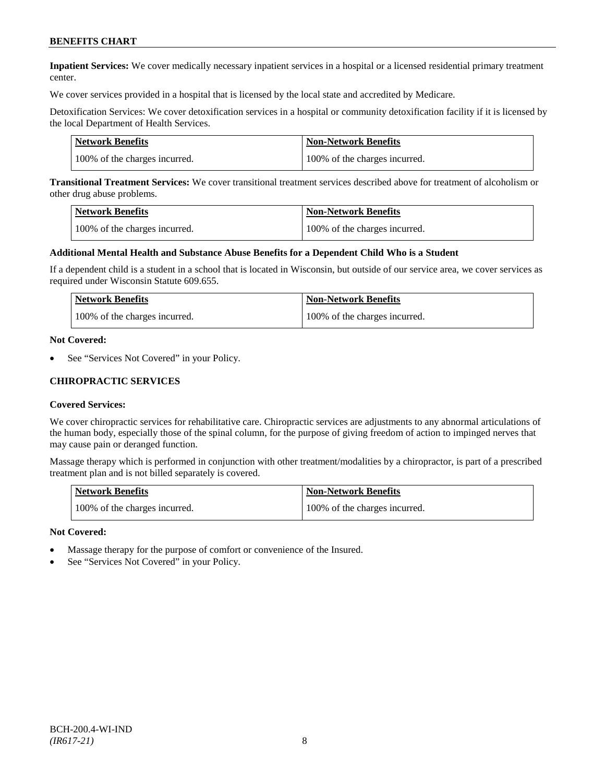**Inpatient Services:** We cover medically necessary inpatient services in a hospital or a licensed residential primary treatment center.

We cover services provided in a hospital that is licensed by the local state and accredited by Medicare.

Detoxification Services: We cover detoxification services in a hospital or community detoxification facility if it is licensed by the local Department of Health Services.

| <b>Network Benefits</b>       | Non-Network Benefits          |
|-------------------------------|-------------------------------|
| 100% of the charges incurred. | 100% of the charges incurred. |

**Transitional Treatment Services:** We cover transitional treatment services described above for treatment of alcoholism or other drug abuse problems.

| <b>Network Benefits</b>       | <b>Non-Network Benefits</b>   |
|-------------------------------|-------------------------------|
| 100% of the charges incurred. | 100% of the charges incurred. |

#### **Additional Mental Health and Substance Abuse Benefits for a Dependent Child Who is a Student**

If a dependent child is a student in a school that is located in Wisconsin, but outside of our service area, we cover services as required under Wisconsin Statute 609.655.

| Network Benefits              | <b>Non-Network Benefits</b>   |
|-------------------------------|-------------------------------|
| 100% of the charges incurred. | 100% of the charges incurred. |

#### **Not Covered:**

See "Services Not Covered" in your Policy.

### **CHIROPRACTIC SERVICES**

#### **Covered Services:**

We cover chiropractic services for rehabilitative care. Chiropractic services are adjustments to any abnormal articulations of the human body, especially those of the spinal column, for the purpose of giving freedom of action to impinged nerves that may cause pain or deranged function.

Massage therapy which is performed in conjunction with other treatment/modalities by a chiropractor, is part of a prescribed treatment plan and is not billed separately is covered.

| <b>Network Benefits</b>       | <b>Non-Network Benefits</b>   |
|-------------------------------|-------------------------------|
| 100% of the charges incurred. | 100% of the charges incurred. |

#### **Not Covered:**

- Massage therapy for the purpose of comfort or convenience of the Insured.
- See "Services Not Covered" in your Policy.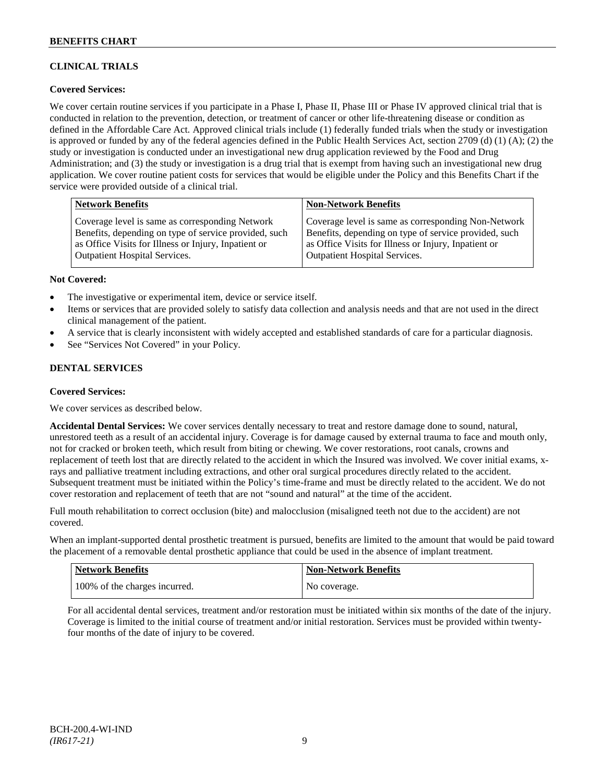## **CLINICAL TRIALS**

### **Covered Services:**

We cover certain routine services if you participate in a Phase I, Phase II, Phase III or Phase IV approved clinical trial that is conducted in relation to the prevention, detection, or treatment of cancer or other life-threatening disease or condition as defined in the Affordable Care Act. Approved clinical trials include (1) federally funded trials when the study or investigation is approved or funded by any of the federal agencies defined in the Public Health Services Act, section 2709 (d) (1) (A); (2) the study or investigation is conducted under an investigational new drug application reviewed by the Food and Drug Administration; and (3) the study or investigation is a drug trial that is exempt from having such an investigational new drug application. We cover routine patient costs for services that would be eligible under the Policy and this Benefits Chart if the service were provided outside of a clinical trial.

| <b>Network Benefits</b>                               | <b>Non-Network Benefits</b>                           |
|-------------------------------------------------------|-------------------------------------------------------|
| Coverage level is same as corresponding Network       | Coverage level is same as corresponding Non-Network   |
| Benefits, depending on type of service provided, such | Benefits, depending on type of service provided, such |
| as Office Visits for Illness or Injury, Inpatient or  | as Office Visits for Illness or Injury, Inpatient or  |
| Outpatient Hospital Services.                         | <b>Outpatient Hospital Services.</b>                  |

### **Not Covered:**

- The investigative or experimental item, device or service itself.
- Items or services that are provided solely to satisfy data collection and analysis needs and that are not used in the direct clinical management of the patient.
- A service that is clearly inconsistent with widely accepted and established standards of care for a particular diagnosis.
- See "Services Not Covered" in your Policy.

### **DENTAL SERVICES**

#### **Covered Services:**

We cover services as described below.

**Accidental Dental Services:** We cover services dentally necessary to treat and restore damage done to sound, natural, unrestored teeth as a result of an accidental injury. Coverage is for damage caused by external trauma to face and mouth only, not for cracked or broken teeth, which result from biting or chewing. We cover restorations, root canals, crowns and replacement of teeth lost that are directly related to the accident in which the Insured was involved. We cover initial exams, xrays and palliative treatment including extractions, and other oral surgical procedures directly related to the accident. Subsequent treatment must be initiated within the Policy's time-frame and must be directly related to the accident. We do not cover restoration and replacement of teeth that are not "sound and natural" at the time of the accident.

Full mouth rehabilitation to correct occlusion (bite) and malocclusion (misaligned teeth not due to the accident) are not covered.

When an implant-supported dental prosthetic treatment is pursued, benefits are limited to the amount that would be paid toward the placement of a removable dental prosthetic appliance that could be used in the absence of implant treatment.

| Network Benefits              | <b>Non-Network Benefits</b> |
|-------------------------------|-----------------------------|
| 100% of the charges incurred. | No coverage.                |

For all accidental dental services, treatment and/or restoration must be initiated within six months of the date of the injury. Coverage is limited to the initial course of treatment and/or initial restoration. Services must be provided within twentyfour months of the date of injury to be covered.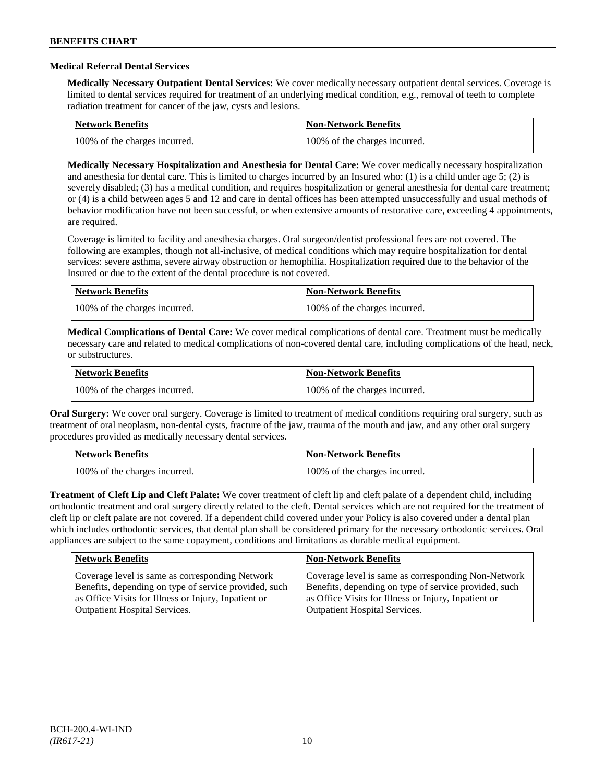### **Medical Referral Dental Services**

**Medically Necessary Outpatient Dental Services:** We cover medically necessary outpatient dental services. Coverage is limited to dental services required for treatment of an underlying medical condition, e.g., removal of teeth to complete radiation treatment for cancer of the jaw, cysts and lesions.

| Network Benefits              | Non-Network Benefits          |
|-------------------------------|-------------------------------|
| 100% of the charges incurred. | 100% of the charges incurred. |

**Medically Necessary Hospitalization and Anesthesia for Dental Care:** We cover medically necessary hospitalization and anesthesia for dental care. This is limited to charges incurred by an Insured who: (1) is a child under age 5; (2) is severely disabled; (3) has a medical condition, and requires hospitalization or general anesthesia for dental care treatment; or (4) is a child between ages 5 and 12 and care in dental offices has been attempted unsuccessfully and usual methods of behavior modification have not been successful, or when extensive amounts of restorative care, exceeding 4 appointments, are required.

Coverage is limited to facility and anesthesia charges. Oral surgeon/dentist professional fees are not covered. The following are examples, though not all-inclusive, of medical conditions which may require hospitalization for dental services: severe asthma, severe airway obstruction or hemophilia. Hospitalization required due to the behavior of the Insured or due to the extent of the dental procedure is not covered.

| Network Benefits              | <b>Non-Network Benefits</b>   |
|-------------------------------|-------------------------------|
| 100% of the charges incurred. | 100% of the charges incurred. |

**Medical Complications of Dental Care:** We cover medical complications of dental care. Treatment must be medically necessary care and related to medical complications of non-covered dental care, including complications of the head, neck, or substructures.

| Network Benefits              | <b>Non-Network Benefits</b>   |
|-------------------------------|-------------------------------|
| 100% of the charges incurred. | 100% of the charges incurred. |

**Oral Surgery:** We cover oral surgery. Coverage is limited to treatment of medical conditions requiring oral surgery, such as treatment of oral neoplasm, non-dental cysts, fracture of the jaw, trauma of the mouth and jaw, and any other oral surgery procedures provided as medically necessary dental services.

| Network Benefits              | <b>Non-Network Benefits</b>   |
|-------------------------------|-------------------------------|
| 100% of the charges incurred. | 100% of the charges incurred. |

**Treatment of Cleft Lip and Cleft Palate:** We cover treatment of cleft lip and cleft palate of a dependent child, including orthodontic treatment and oral surgery directly related to the cleft. Dental services which are not required for the treatment of cleft lip or cleft palate are not covered. If a dependent child covered under your Policy is also covered under a dental plan which includes orthodontic services, that dental plan shall be considered primary for the necessary orthodontic services. Oral appliances are subject to the same copayment, conditions and limitations as durable medical equipment.

| <b>Network Benefits</b>                               | <b>Non-Network Benefits</b>                           |
|-------------------------------------------------------|-------------------------------------------------------|
| Coverage level is same as corresponding Network       | Coverage level is same as corresponding Non-Network   |
| Benefits, depending on type of service provided, such | Benefits, depending on type of service provided, such |
| as Office Visits for Illness or Injury, Inpatient or  | as Office Visits for Illness or Injury, Inpatient or  |
| <b>Outpatient Hospital Services.</b>                  | Outpatient Hospital Services.                         |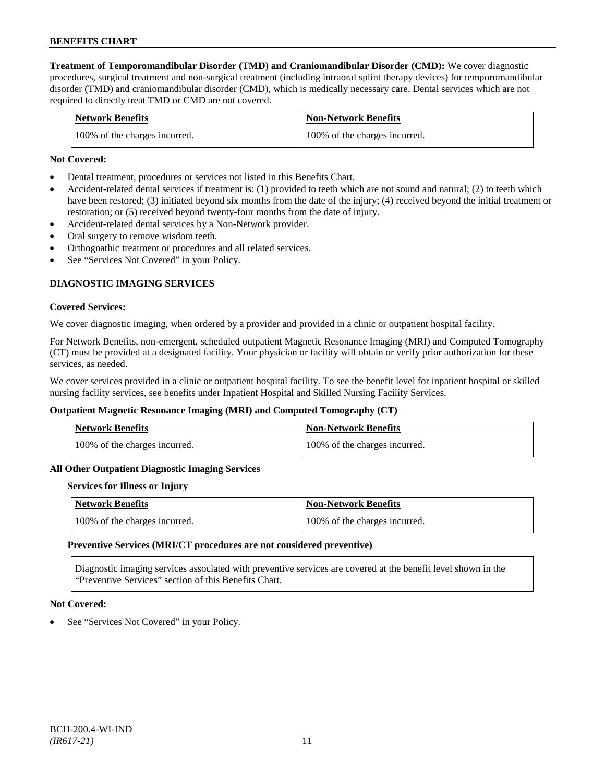**Treatment of Temporomandibular Disorder (TMD) and Craniomandibular Disorder (CMD):** We cover diagnostic procedures, surgical treatment and non-surgical treatment (including intraoral splint therapy devices) for temporomandibular disorder (TMD) and craniomandibular disorder (CMD), which is medically necessary care. Dental services which are not required to directly treat TMD or CMD are not covered.

| <b>Network Benefits</b>       | <b>Non-Network Benefits</b>   |
|-------------------------------|-------------------------------|
| 100% of the charges incurred. | 100% of the charges incurred. |

### **Not Covered:**

- Dental treatment, procedures or services not listed in this Benefits Chart.
- Accident-related dental services if treatment is: (1) provided to teeth which are not sound and natural; (2) to teeth which have been restored; (3) initiated beyond six months from the date of the injury; (4) received beyond the initial treatment or restoration; or (5) received beyond twenty-four months from the date of injury.
- Accident-related dental services by a Non-Network provider.
- Oral surgery to remove wisdom teeth.
- Orthognathic treatment or procedures and all related services.
- See "Services Not Covered" in your Policy.

## **DIAGNOSTIC IMAGING SERVICES**

#### **Covered Services:**

We cover diagnostic imaging, when ordered by a provider and provided in a clinic or outpatient hospital facility.

For Network Benefits, non-emergent, scheduled outpatient Magnetic Resonance Imaging (MRI) and Computed Tomography (CT) must be provided at a designated facility. Your physician or facility will obtain or verify prior authorization for these services, as needed.

We cover services provided in a clinic or outpatient hospital facility. To see the benefit level for inpatient hospital or skilled nursing facility services, see benefits under Inpatient Hospital and Skilled Nursing Facility Services.

#### **Outpatient Magnetic Resonance Imaging (MRI) and Computed Tomography (CT)**

| <b>Network Benefits</b>       | <b>Non-Network Benefits</b>   |
|-------------------------------|-------------------------------|
| 100% of the charges incurred. | 100% of the charges incurred. |

#### **All Other Outpatient Diagnostic Imaging Services**

#### **Services for Illness or Injury**

| Network Benefits              | <b>Non-Network Benefits</b>   |
|-------------------------------|-------------------------------|
| 100% of the charges incurred. | 100% of the charges incurred. |

#### **Preventive Services (MRI/CT procedures are not considered preventive)**

Diagnostic imaging services associated with preventive services are covered at the benefit level shown in the "Preventive Services" section of this Benefits Chart.

#### **Not Covered:**

See "Services Not Covered" in your Policy.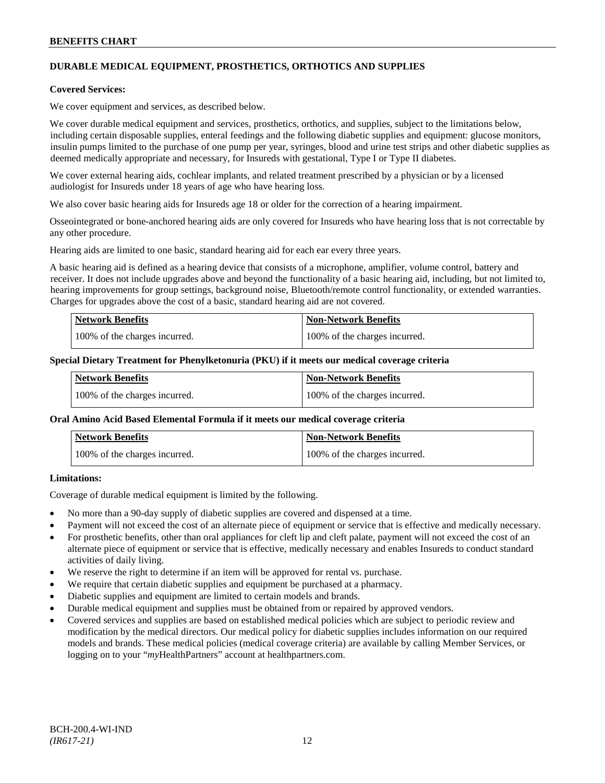## **DURABLE MEDICAL EQUIPMENT, PROSTHETICS, ORTHOTICS AND SUPPLIES**

### **Covered Services:**

We cover equipment and services, as described below.

We cover durable medical equipment and services, prosthetics, orthotics, and supplies, subject to the limitations below, including certain disposable supplies, enteral feedings and the following diabetic supplies and equipment: glucose monitors, insulin pumps limited to the purchase of one pump per year, syringes, blood and urine test strips and other diabetic supplies as deemed medically appropriate and necessary, for Insureds with gestational, Type I or Type II diabetes.

We cover external hearing aids, cochlear implants, and related treatment prescribed by a physician or by a licensed audiologist for Insureds under 18 years of age who have hearing loss.

We also cover basic hearing aids for Insureds age 18 or older for the correction of a hearing impairment.

Osseointegrated or bone-anchored hearing aids are only covered for Insureds who have hearing loss that is not correctable by any other procedure.

Hearing aids are limited to one basic, standard hearing aid for each ear every three years.

A basic hearing aid is defined as a hearing device that consists of a microphone, amplifier, volume control, battery and receiver. It does not include upgrades above and beyond the functionality of a basic hearing aid, including, but not limited to, hearing improvements for group settings, background noise, Bluetooth/remote control functionality, or extended warranties. Charges for upgrades above the cost of a basic, standard hearing aid are not covered.

| <b>Network Benefits</b>       | <b>Non-Network Benefits</b>   |
|-------------------------------|-------------------------------|
| 100% of the charges incurred. | 100% of the charges incurred. |

#### **Special Dietary Treatment for Phenylketonuria (PKU) if it meets our medical coverage criteria**

| <b>Network Benefits</b>       | <b>Non-Network Benefits</b>   |
|-------------------------------|-------------------------------|
| 100% of the charges incurred. | 100% of the charges incurred. |

#### **Oral Amino Acid Based Elemental Formula if it meets our medical coverage criteria**

| <b>Network Benefits</b>       | <b>Non-Network Benefits</b>   |
|-------------------------------|-------------------------------|
| 100% of the charges incurred. | 100% of the charges incurred. |

### **Limitations:**

Coverage of durable medical equipment is limited by the following.

- No more than a 90-day supply of diabetic supplies are covered and dispensed at a time.
- Payment will not exceed the cost of an alternate piece of equipment or service that is effective and medically necessary.
- For prosthetic benefits, other than oral appliances for cleft lip and cleft palate, payment will not exceed the cost of an alternate piece of equipment or service that is effective, medically necessary and enables Insureds to conduct standard activities of daily living.
- We reserve the right to determine if an item will be approved for rental vs. purchase.
- We require that certain diabetic supplies and equipment be purchased at a pharmacy.
- Diabetic supplies and equipment are limited to certain models and brands.
- Durable medical equipment and supplies must be obtained from or repaired by approved vendors.
- Covered services and supplies are based on established medical policies which are subject to periodic review and modification by the medical directors. Our medical policy for diabetic supplies includes information on our required models and brands. These medical policies (medical coverage criteria) are available by calling Member Services, or logging on to your "*my*HealthPartners" account at [healthpartners.com.](http://www.healthpartners.com/)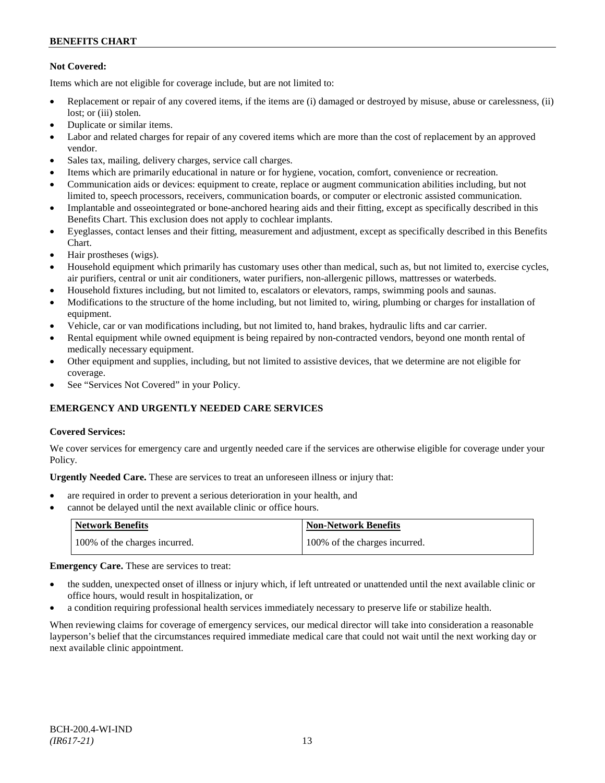### **Not Covered:**

Items which are not eligible for coverage include, but are not limited to:

- Replacement or repair of any covered items, if the items are (i) damaged or destroyed by misuse, abuse or carelessness, (ii) lost; or (iii) stolen.
- Duplicate or similar items.
- Labor and related charges for repair of any covered items which are more than the cost of replacement by an approved vendor.
- Sales tax, mailing, delivery charges, service call charges.
- Items which are primarily educational in nature or for hygiene, vocation, comfort, convenience or recreation.
- Communication aids or devices: equipment to create, replace or augment communication abilities including, but not limited to, speech processors, receivers, communication boards, or computer or electronic assisted communication.
- Implantable and osseointegrated or bone-anchored hearing aids and their fitting, except as specifically described in this Benefits Chart. This exclusion does not apply to cochlear implants.
- Eyeglasses, contact lenses and their fitting, measurement and adjustment, except as specifically described in this Benefits Chart.
- Hair prostheses (wigs).
- Household equipment which primarily has customary uses other than medical, such as, but not limited to, exercise cycles, air purifiers, central or unit air conditioners, water purifiers, non-allergenic pillows, mattresses or waterbeds.
- Household fixtures including, but not limited to, escalators or elevators, ramps, swimming pools and saunas.
- Modifications to the structure of the home including, but not limited to, wiring, plumbing or charges for installation of equipment.
- Vehicle, car or van modifications including, but not limited to, hand brakes, hydraulic lifts and car carrier.
- Rental equipment while owned equipment is being repaired by non-contracted vendors, beyond one month rental of medically necessary equipment.
- Other equipment and supplies, including, but not limited to assistive devices, that we determine are not eligible for coverage.
- See "Services Not Covered" in your Policy.

## **EMERGENCY AND URGENTLY NEEDED CARE SERVICES**

### **Covered Services:**

We cover services for emergency care and urgently needed care if the services are otherwise eligible for coverage under your Policy.

**Urgently Needed Care.** These are services to treat an unforeseen illness or injury that:

- are required in order to prevent a serious deterioration in your health, and
- cannot be delayed until the next available clinic or office hours.

| Network Benefits              | <b>Non-Network Benefits</b>   |
|-------------------------------|-------------------------------|
| 100% of the charges incurred. | 100% of the charges incurred. |

**Emergency Care.** These are services to treat:

- the sudden, unexpected onset of illness or injury which, if left untreated or unattended until the next available clinic or office hours, would result in hospitalization, or
- a condition requiring professional health services immediately necessary to preserve life or stabilize health.

When reviewing claims for coverage of emergency services, our medical director will take into consideration a reasonable layperson's belief that the circumstances required immediate medical care that could not wait until the next working day or next available clinic appointment.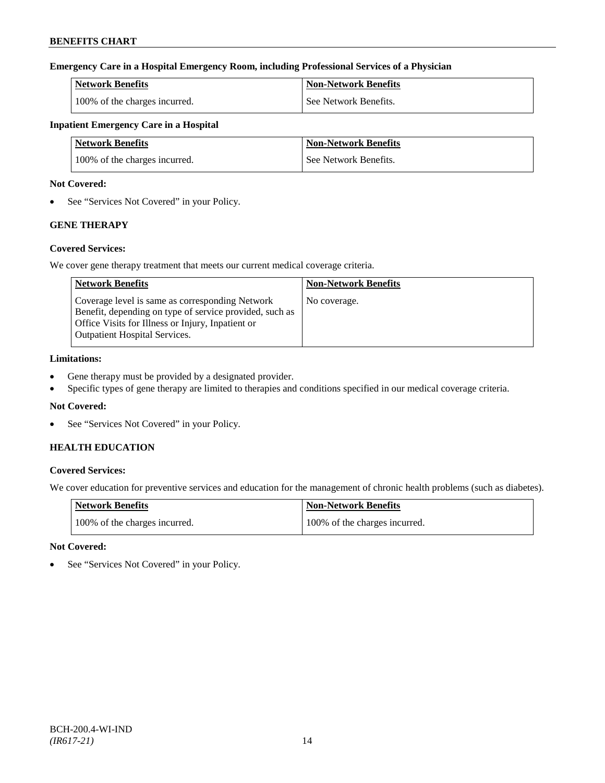## **Emergency Care in a Hospital Emergency Room, including Professional Services of a Physician**

| <b>Network Benefits</b>       | Non-Network Benefits  |
|-------------------------------|-----------------------|
| 100% of the charges incurred. | See Network Benefits. |

## **Inpatient Emergency Care in a Hospital**

| <b>Network Benefits</b>       | <b>Non-Network Benefits</b> |
|-------------------------------|-----------------------------|
| 100% of the charges incurred. | See Network Benefits.       |

### **Not Covered:**

• See "Services Not Covered" in your Policy.

## **GENE THERAPY**

### **Covered Services:**

We cover gene therapy treatment that meets our current medical coverage criteria.

| <b>Network Benefits</b>                                                                                                                                                                                 | <b>Non-Network Benefits</b> |
|---------------------------------------------------------------------------------------------------------------------------------------------------------------------------------------------------------|-----------------------------|
| Coverage level is same as corresponding Network<br>Benefit, depending on type of service provided, such as<br>Office Visits for Illness or Injury, Inpatient or<br><b>Outpatient Hospital Services.</b> | No coverage.                |

### **Limitations:**

- Gene therapy must be provided by a designated provider.
- Specific types of gene therapy are limited to therapies and conditions specified in our medical coverage criteria.

### **Not Covered:**

• See "Services Not Covered" in your Policy.

## **HEALTH EDUCATION**

### **Covered Services:**

We cover education for preventive services and education for the management of chronic health problems (such as diabetes).

| <b>Network Benefits</b>       | Non-Network Benefits          |
|-------------------------------|-------------------------------|
| 100% of the charges incurred. | 100% of the charges incurred. |

### **Not Covered:**

See "Services Not Covered" in your Policy.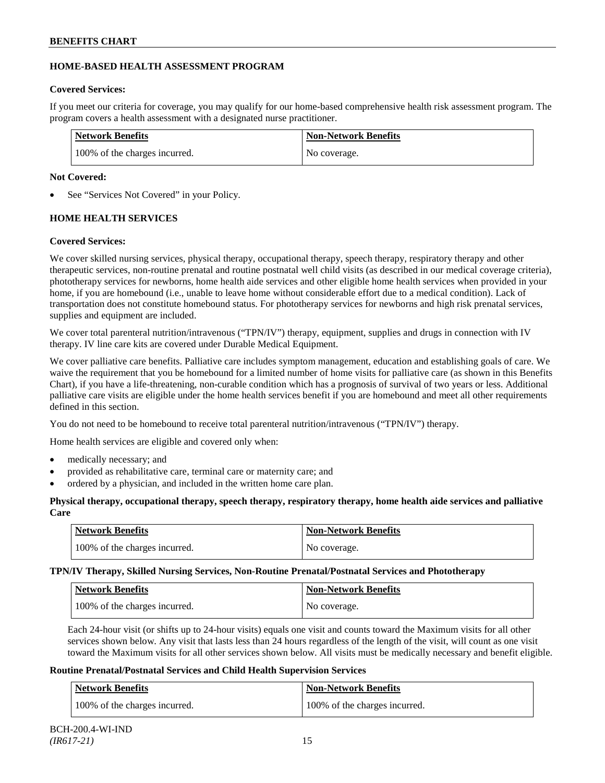## **HOME-BASED HEALTH ASSESSMENT PROGRAM**

### **Covered Services:**

If you meet our criteria for coverage, you may qualify for our home-based comprehensive health risk assessment program. The program covers a health assessment with a designated nurse practitioner.

| <b>Network Benefits</b>       | <b>Non-Network Benefits</b> |
|-------------------------------|-----------------------------|
| 100% of the charges incurred. | No coverage.                |

### **Not Covered:**

See "Services Not Covered" in your Policy.

## **HOME HEALTH SERVICES**

## **Covered Services:**

We cover skilled nursing services, physical therapy, occupational therapy, speech therapy, respiratory therapy and other therapeutic services, non-routine prenatal and routine postnatal well child visits (as described in our medical coverage criteria), phototherapy services for newborns, home health aide services and other eligible home health services when provided in your home, if you are homebound (i.e., unable to leave home without considerable effort due to a medical condition). Lack of transportation does not constitute homebound status. For phototherapy services for newborns and high risk prenatal services, supplies and equipment are included.

We cover total parenteral nutrition/intravenous ("TPN/IV") therapy, equipment, supplies and drugs in connection with IV therapy. IV line care kits are covered under Durable Medical Equipment.

We cover palliative care benefits. Palliative care includes symptom management, education and establishing goals of care. We waive the requirement that you be homebound for a limited number of home visits for palliative care (as shown in this Benefits Chart), if you have a life-threatening, non-curable condition which has a prognosis of survival of two years or less. Additional palliative care visits are eligible under the home health services benefit if you are homebound and meet all other requirements defined in this section.

You do not need to be homebound to receive total parenteral nutrition/intravenous ("TPN/IV") therapy.

Home health services are eligible and covered only when:

- medically necessary; and
- provided as rehabilitative care, terminal care or maternity care; and
- ordered by a physician, and included in the written home care plan.

## **Physical therapy, occupational therapy, speech therapy, respiratory therapy, home health aide services and palliative Care**

| Network Benefits              | <b>Non-Network Benefits</b> |
|-------------------------------|-----------------------------|
| 100% of the charges incurred. | No coverage.                |

**TPN/IV Therapy, Skilled Nursing Services, Non-Routine Prenatal/Postnatal Services and Phototherapy**

| <b>Network Benefits</b>       | <b>Non-Network Benefits</b> |
|-------------------------------|-----------------------------|
| 100% of the charges incurred. | No coverage.                |

Each 24-hour visit (or shifts up to 24-hour visits) equals one visit and counts toward the Maximum visits for all other services shown below. Any visit that lasts less than 24 hours regardless of the length of the visit, will count as one visit toward the Maximum visits for all other services shown below. All visits must be medically necessary and benefit eligible.

### **Routine Prenatal/Postnatal Services and Child Health Supervision Services**

| <b>Network Benefits</b>       | <b>Non-Network Benefits</b>   |
|-------------------------------|-------------------------------|
| 100% of the charges incurred. | 100% of the charges incurred. |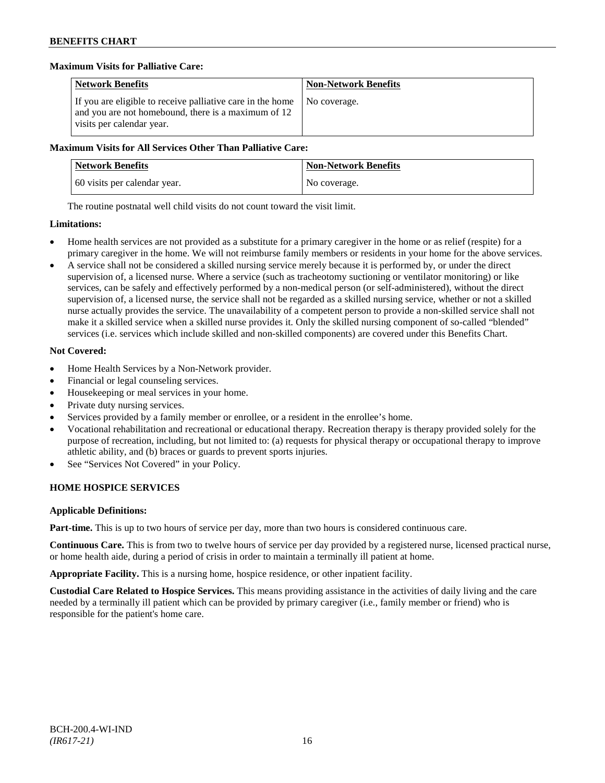### **Maximum Visits for Palliative Care:**

| <b>Network Benefits</b>                                                                                                                        | <b>Non-Network Benefits</b> |
|------------------------------------------------------------------------------------------------------------------------------------------------|-----------------------------|
| If you are eligible to receive palliative care in the home<br>and you are not homebound, there is a maximum of 12<br>visits per calendar year. | No coverage.                |

### **Maximum Visits for All Services Other Than Palliative Care:**

| <b>Network Benefits</b>      | <b>Non-Network Benefits</b> |
|------------------------------|-----------------------------|
| 60 visits per calendar year. | No coverage.                |

The routine postnatal well child visits do not count toward the visit limit.

### **Limitations:**

- Home health services are not provided as a substitute for a primary caregiver in the home or as relief (respite) for a primary caregiver in the home. We will not reimburse family members or residents in your home for the above services.
- A service shall not be considered a skilled nursing service merely because it is performed by, or under the direct supervision of, a licensed nurse. Where a service (such as tracheotomy suctioning or ventilator monitoring) or like services, can be safely and effectively performed by a non-medical person (or self-administered), without the direct supervision of, a licensed nurse, the service shall not be regarded as a skilled nursing service, whether or not a skilled nurse actually provides the service. The unavailability of a competent person to provide a non-skilled service shall not make it a skilled service when a skilled nurse provides it. Only the skilled nursing component of so-called "blended" services (i.e. services which include skilled and non-skilled components) are covered under this Benefits Chart.

### **Not Covered:**

- Home Health Services by a Non-Network provider.
- Financial or legal counseling services.
- Housekeeping or meal services in your home.
- Private duty nursing services.
- Services provided by a family member or enrollee, or a resident in the enrollee's home.
- Vocational rehabilitation and recreational or educational therapy. Recreation therapy is therapy provided solely for the purpose of recreation, including, but not limited to: (a) requests for physical therapy or occupational therapy to improve athletic ability, and (b) braces or guards to prevent sports injuries.
- See "Services Not Covered" in your Policy.

### **HOME HOSPICE SERVICES**

### **Applicable Definitions:**

**Part-time.** This is up to two hours of service per day, more than two hours is considered continuous care.

**Continuous Care.** This is from two to twelve hours of service per day provided by a registered nurse, licensed practical nurse, or home health aide, during a period of crisis in order to maintain a terminally ill patient at home.

**Appropriate Facility.** This is a nursing home, hospice residence, or other inpatient facility.

**Custodial Care Related to Hospice Services.** This means providing assistance in the activities of daily living and the care needed by a terminally ill patient which can be provided by primary caregiver (i.e., family member or friend) who is responsible for the patient's home care.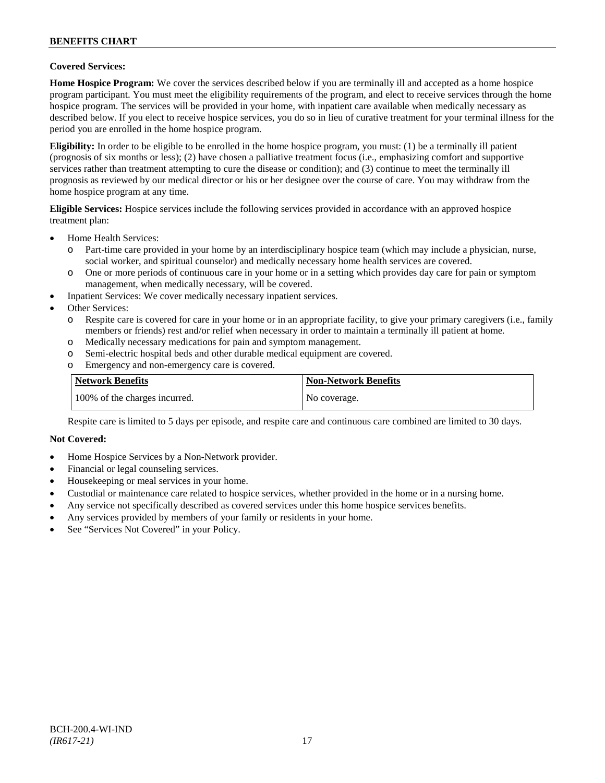### **Covered Services:**

**Home Hospice Program:** We cover the services described below if you are terminally ill and accepted as a home hospice program participant. You must meet the eligibility requirements of the program, and elect to receive services through the home hospice program. The services will be provided in your home, with inpatient care available when medically necessary as described below. If you elect to receive hospice services, you do so in lieu of curative treatment for your terminal illness for the period you are enrolled in the home hospice program.

**Eligibility:** In order to be eligible to be enrolled in the home hospice program, you must: (1) be a terminally ill patient (prognosis of six months or less); (2) have chosen a palliative treatment focus (i.e., emphasizing comfort and supportive services rather than treatment attempting to cure the disease or condition); and (3) continue to meet the terminally ill prognosis as reviewed by our medical director or his or her designee over the course of care. You may withdraw from the home hospice program at any time.

**Eligible Services:** Hospice services include the following services provided in accordance with an approved hospice treatment plan:

- Home Health Services:
	- o Part-time care provided in your home by an interdisciplinary hospice team (which may include a physician, nurse, social worker, and spiritual counselor) and medically necessary home health services are covered.
	- o One or more periods of continuous care in your home or in a setting which provides day care for pain or symptom management, when medically necessary, will be covered.
- Inpatient Services: We cover medically necessary inpatient services.
- Other Services:
	- o Respite care is covered for care in your home or in an appropriate facility, to give your primary caregivers (i.e., family members or friends) rest and/or relief when necessary in order to maintain a terminally ill patient at home*.*
	- o Medically necessary medications for pain and symptom management.
	- o Semi-electric hospital beds and other durable medical equipment are covered.
	- o Emergency and non-emergency care is covered.

| Network Benefits              | <b>Non-Network Benefits</b> |
|-------------------------------|-----------------------------|
| 100% of the charges incurred. | No coverage.                |

Respite care is limited to 5 days per episode, and respite care and continuous care combined are limited to 30 days.

#### **Not Covered:**

- Home Hospice Services by a Non-Network provider.
- Financial or legal counseling services.
- Housekeeping or meal services in your home.
- Custodial or maintenance care related to hospice services, whether provided in the home or in a nursing home.
- Any service not specifically described as covered services under this home hospice services benefits.
- Any services provided by members of your family or residents in your home.
- See "Services Not Covered" in your Policy.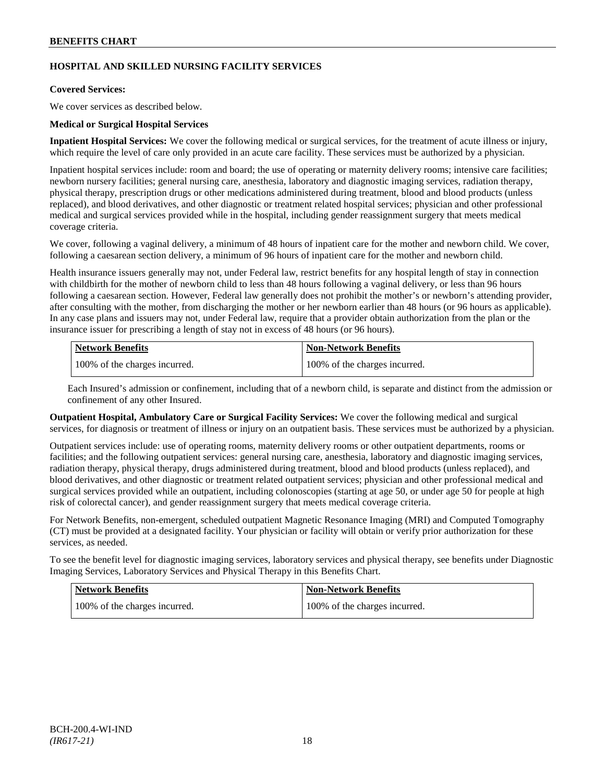## **HOSPITAL AND SKILLED NURSING FACILITY SERVICES**

### **Covered Services:**

We cover services as described below.

### **Medical or Surgical Hospital Services**

**Inpatient Hospital Services:** We cover the following medical or surgical services, for the treatment of acute illness or injury, which require the level of care only provided in an acute care facility. These services must be authorized by a physician.

Inpatient hospital services include: room and board; the use of operating or maternity delivery rooms; intensive care facilities; newborn nursery facilities; general nursing care, anesthesia, laboratory and diagnostic imaging services, radiation therapy, physical therapy, prescription drugs or other medications administered during treatment, blood and blood products (unless replaced), and blood derivatives, and other diagnostic or treatment related hospital services; physician and other professional medical and surgical services provided while in the hospital, including gender reassignment surgery that meets medical coverage criteria.

We cover, following a vaginal delivery, a minimum of 48 hours of inpatient care for the mother and newborn child. We cover, following a caesarean section delivery, a minimum of 96 hours of inpatient care for the mother and newborn child.

Health insurance issuers generally may not, under Federal law, restrict benefits for any hospital length of stay in connection with childbirth for the mother of newborn child to less than 48 hours following a vaginal delivery, or less than 96 hours following a caesarean section. However, Federal law generally does not prohibit the mother's or newborn's attending provider, after consulting with the mother, from discharging the mother or her newborn earlier than 48 hours (or 96 hours as applicable). In any case plans and issuers may not, under Federal law, require that a provider obtain authorization from the plan or the insurance issuer for prescribing a length of stay not in excess of 48 hours (or 96 hours).

| Network Benefits              | <b>Non-Network Benefits</b>   |
|-------------------------------|-------------------------------|
| 100% of the charges incurred. | 100% of the charges incurred. |

Each Insured's admission or confinement, including that of a newborn child, is separate and distinct from the admission or confinement of any other Insured.

**Outpatient Hospital, Ambulatory Care or Surgical Facility Services:** We cover the following medical and surgical services, for diagnosis or treatment of illness or injury on an outpatient basis. These services must be authorized by a physician.

Outpatient services include: use of operating rooms, maternity delivery rooms or other outpatient departments, rooms or facilities; and the following outpatient services: general nursing care, anesthesia, laboratory and diagnostic imaging services, radiation therapy, physical therapy, drugs administered during treatment, blood and blood products (unless replaced), and blood derivatives, and other diagnostic or treatment related outpatient services; physician and other professional medical and surgical services provided while an outpatient, including colonoscopies (starting at age 50, or under age 50 for people at high risk of colorectal cancer), and gender reassignment surgery that meets medical coverage criteria.

For Network Benefits, non-emergent, scheduled outpatient Magnetic Resonance Imaging (MRI) and Computed Tomography (CT) must be provided at a designated facility. Your physician or facility will obtain or verify prior authorization for these services, as needed.

To see the benefit level for diagnostic imaging services, laboratory services and physical therapy, see benefits under Diagnostic Imaging Services, Laboratory Services and Physical Therapy in this Benefits Chart.

| <b>Network Benefits</b>       | <b>Non-Network Benefits</b>   |
|-------------------------------|-------------------------------|
| 100% of the charges incurred. | 100% of the charges incurred. |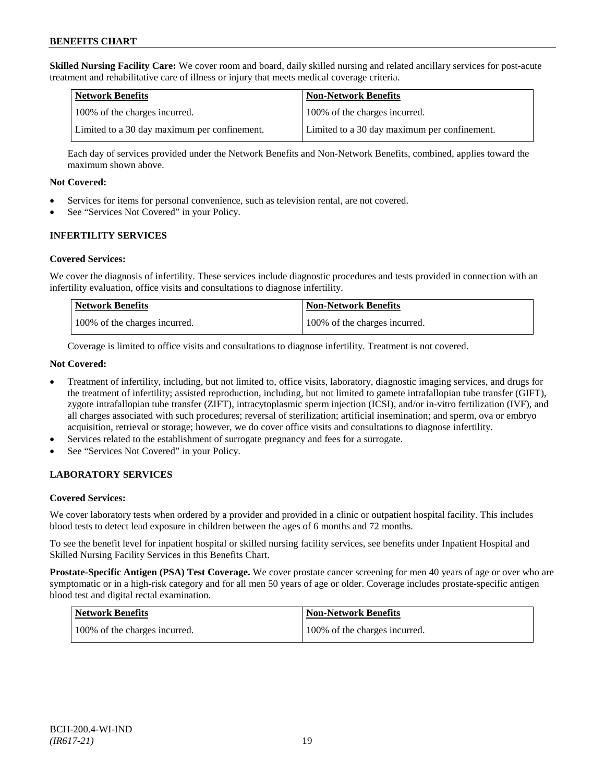**Skilled Nursing Facility Care:** We cover room and board, daily skilled nursing and related ancillary services for post-acute treatment and rehabilitative care of illness or injury that meets medical coverage criteria.

| Network Benefits                             | <b>Non-Network Benefits</b>                  |
|----------------------------------------------|----------------------------------------------|
| 100% of the charges incurred.                | 100% of the charges incurred.                |
| Limited to a 30 day maximum per confinement. | Limited to a 30 day maximum per confinement. |

Each day of services provided under the Network Benefits and Non-Network Benefits, combined, applies toward the maximum shown above.

### **Not Covered:**

- Services for items for personal convenience, such as television rental, are not covered.
- See "Services Not Covered" in your Policy.

### **INFERTILITY SERVICES**

### **Covered Services:**

We cover the diagnosis of infertility. These services include diagnostic procedures and tests provided in connection with an infertility evaluation, office visits and consultations to diagnose infertility.

| <b>Network Benefits</b>       | <b>Non-Network Benefits</b>   |
|-------------------------------|-------------------------------|
| 100% of the charges incurred. | 100% of the charges incurred. |

Coverage is limited to office visits and consultations to diagnose infertility. Treatment is not covered.

### **Not Covered:**

- Treatment of infertility, including, but not limited to, office visits, laboratory, diagnostic imaging services, and drugs for the treatment of infertility; assisted reproduction, including, but not limited to gamete intrafallopian tube transfer (GIFT), zygote intrafallopian tube transfer (ZIFT), intracytoplasmic sperm injection (ICSI), and/or in-vitro fertilization (IVF), and all charges associated with such procedures; reversal of sterilization; artificial insemination; and sperm, ova or embryo acquisition, retrieval or storage; however, we do cover office visits and consultations to diagnose infertility.
- Services related to the establishment of surrogate pregnancy and fees for a surrogate.
- See "Services Not Covered" in your Policy.

### **LABORATORY SERVICES**

#### **Covered Services:**

We cover laboratory tests when ordered by a provider and provided in a clinic or outpatient hospital facility. This includes blood tests to detect lead exposure in children between the ages of 6 months and 72 months.

To see the benefit level for inpatient hospital or skilled nursing facility services, see benefits under Inpatient Hospital and Skilled Nursing Facility Services in this Benefits Chart.

**Prostate-Specific Antigen (PSA) Test Coverage.** We cover prostate cancer screening for men 40 years of age or over who are symptomatic or in a high-risk category and for all men 50 years of age or older. Coverage includes prostate-specific antigen blood test and digital rectal examination.

| Network Benefits              | Non-Network Benefits          |
|-------------------------------|-------------------------------|
| 100% of the charges incurred. | 100% of the charges incurred. |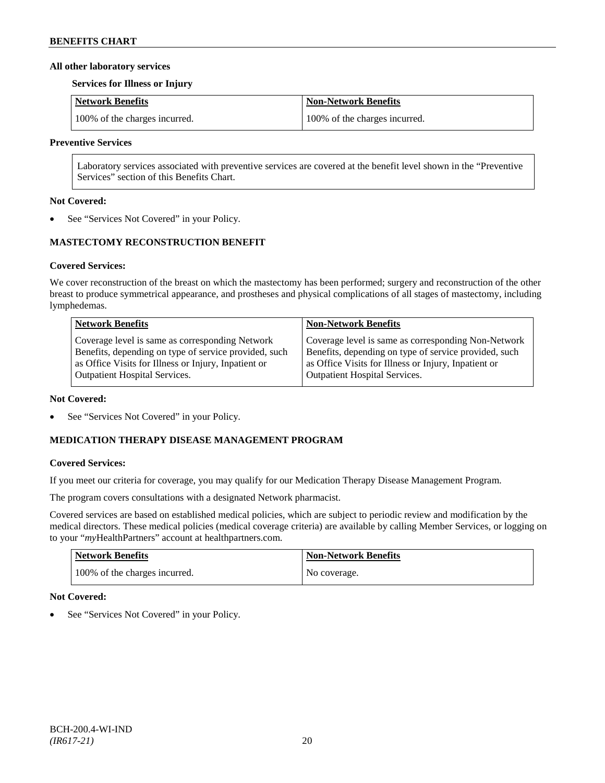### **All other laboratory services**

#### **Services for Illness or Injury**

| Network Benefits              | Non-Network Benefits          |
|-------------------------------|-------------------------------|
| 100% of the charges incurred. | 100% of the charges incurred. |

### **Preventive Services**

Laboratory services associated with preventive services are covered at the benefit level shown in the "Preventive Services" section of this Benefits Chart.

### **Not Covered:**

See "Services Not Covered" in your Policy.

## **MASTECTOMY RECONSTRUCTION BENEFIT**

### **Covered Services:**

We cover reconstruction of the breast on which the mastectomy has been performed; surgery and reconstruction of the other breast to produce symmetrical appearance, and prostheses and physical complications of all stages of mastectomy, including lymphedemas.

| <b>Network Benefits</b>                               | <b>Non-Network Benefits</b>                           |
|-------------------------------------------------------|-------------------------------------------------------|
| Coverage level is same as corresponding Network       | Coverage level is same as corresponding Non-Network   |
| Benefits, depending on type of service provided, such | Benefits, depending on type of service provided, such |
| as Office Visits for Illness or Injury, Inpatient or  | as Office Visits for Illness or Injury, Inpatient or  |
| <b>Outpatient Hospital Services.</b>                  | <b>Outpatient Hospital Services.</b>                  |

#### **Not Covered:**

See "Services Not Covered" in your Policy.

## **MEDICATION THERAPY DISEASE MANAGEMENT PROGRAM**

### **Covered Services:**

If you meet our criteria for coverage, you may qualify for our Medication Therapy Disease Management Program.

The program covers consultations with a designated Network pharmacist.

Covered services are based on established medical policies, which are subject to periodic review and modification by the medical directors. These medical policies (medical coverage criteria) are available by calling Member Services, or logging on to your "*my*HealthPartners" account at [healthpartners.com.](http://www.healthpartners.com/)

| <b>Network Benefits</b>       | <b>Non-Network Benefits</b> |
|-------------------------------|-----------------------------|
| 100% of the charges incurred. | No coverage.                |

### **Not Covered:**

See "Services Not Covered" in your Policy.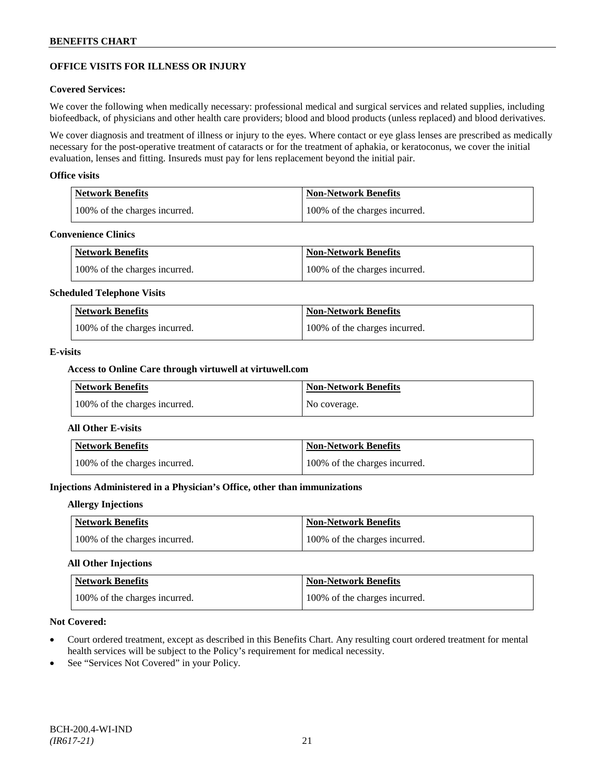## **OFFICE VISITS FOR ILLNESS OR INJURY**

### **Covered Services:**

We cover the following when medically necessary: professional medical and surgical services and related supplies, including biofeedback, of physicians and other health care providers; blood and blood products (unless replaced) and blood derivatives.

We cover diagnosis and treatment of illness or injury to the eyes. Where contact or eye glass lenses are prescribed as medically necessary for the post-operative treatment of cataracts or for the treatment of aphakia, or keratoconus, we cover the initial evaluation, lenses and fitting. Insureds must pay for lens replacement beyond the initial pair.

### **Office visits**

| Network Benefits              | <b>Non-Network Benefits</b>   |
|-------------------------------|-------------------------------|
| 100% of the charges incurred. | 100% of the charges incurred. |

#### **Convenience Clinics**

| <b>Network Benefits</b>       | <b>Non-Network Benefits</b>   |
|-------------------------------|-------------------------------|
| 100% of the charges incurred. | 100% of the charges incurred. |

#### **Scheduled Telephone Visits**

| <b>Network Benefits</b>       | <b>Non-Network Benefits</b>   |
|-------------------------------|-------------------------------|
| 100% of the charges incurred. | 100% of the charges incurred. |

### **E-visits**

### **Access to Online Care through virtuwell a[t virtuwell.com](http://www.virtuwell.com/)**

| <b>Network Benefits</b>       | <b>Non-Network Benefits</b> |
|-------------------------------|-----------------------------|
| 100% of the charges incurred. | No coverage.                |

### **All Other E-visits**

| <b>Network Benefits</b>       | Non-Network Benefits          |
|-------------------------------|-------------------------------|
| 100% of the charges incurred. | 100% of the charges incurred. |

### **Injections Administered in a Physician's Office, other than immunizations**

#### **Allergy Injections**

| Network Benefits              | <b>Non-Network Benefits</b>   |
|-------------------------------|-------------------------------|
| 100% of the charges incurred. | 100% of the charges incurred. |

### **All Other Injections**

| Network Benefits              | <b>Non-Network Benefits</b>   |
|-------------------------------|-------------------------------|
| 100% of the charges incurred. | 100% of the charges incurred. |

### **Not Covered:**

- Court ordered treatment, except as described in this Benefits Chart. Any resulting court ordered treatment for mental health services will be subject to the Policy's requirement for medical necessity.
- See "Services Not Covered" in your Policy.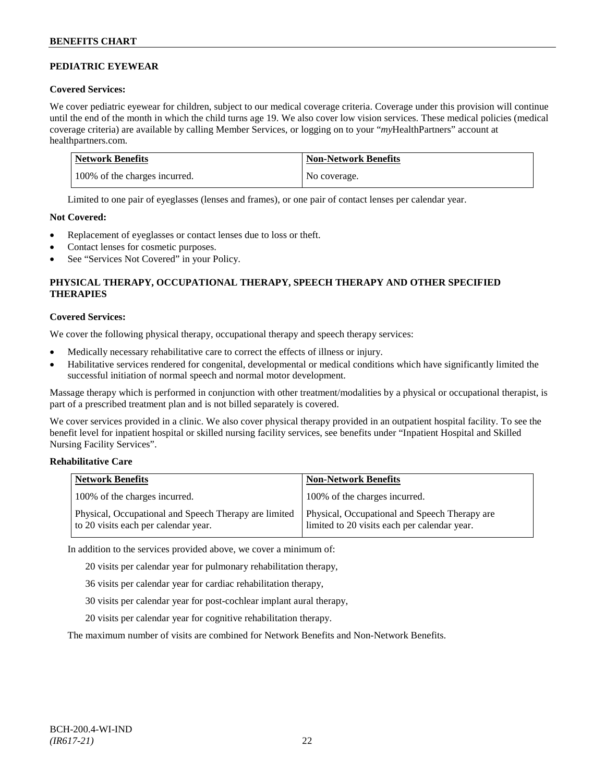## **PEDIATRIC EYEWEAR**

### **Covered Services:**

We cover pediatric eyewear for children, subject to our medical coverage criteria. Coverage under this provision will continue until the end of the month in which the child turns age 19. We also cover low vision services. These medical policies (medical coverage criteria) are available by calling Member Services, or logging on to your "*my*HealthPartners" account at [healthpartners.com.](http://www.healthpartners.com/)

| Network Benefits              | <b>Non-Network Benefits</b> |
|-------------------------------|-----------------------------|
| 100% of the charges incurred. | No coverage.                |

Limited to one pair of eyeglasses (lenses and frames), or one pair of contact lenses per calendar year.

### **Not Covered:**

- Replacement of eyeglasses or contact lenses due to loss or theft.
- Contact lenses for cosmetic purposes.
- See "Services Not Covered" in your Policy.

## **PHYSICAL THERAPY, OCCUPATIONAL THERAPY, SPEECH THERAPY AND OTHER SPECIFIED THERAPIES**

## **Covered Services:**

We cover the following physical therapy, occupational therapy and speech therapy services:

- Medically necessary rehabilitative care to correct the effects of illness or injury.
- Habilitative services rendered for congenital, developmental or medical conditions which have significantly limited the successful initiation of normal speech and normal motor development.

Massage therapy which is performed in conjunction with other treatment/modalities by a physical or occupational therapist, is part of a prescribed treatment plan and is not billed separately is covered.

We cover services provided in a clinic. We also cover physical therapy provided in an outpatient hospital facility. To see the benefit level for inpatient hospital or skilled nursing facility services, see benefits under "Inpatient Hospital and Skilled Nursing Facility Services".

### **Rehabilitative Care**

| <b>Network Benefits</b>                                                                       | <b>Non-Network Benefits</b>                                                                   |
|-----------------------------------------------------------------------------------------------|-----------------------------------------------------------------------------------------------|
| 100% of the charges incurred.                                                                 | 100% of the charges incurred.                                                                 |
| Physical, Occupational and Speech Therapy are limited<br>to 20 visits each per calendar year. | Physical, Occupational and Speech Therapy are<br>limited to 20 visits each per calendar year. |

In addition to the services provided above, we cover a minimum of:

20 visits per calendar year for pulmonary rehabilitation therapy,

- 36 visits per calendar year for cardiac rehabilitation therapy,
- 30 visits per calendar year for post-cochlear implant aural therapy,
- 20 visits per calendar year for cognitive rehabilitation therapy.

The maximum number of visits are combined for Network Benefits and Non-Network Benefits.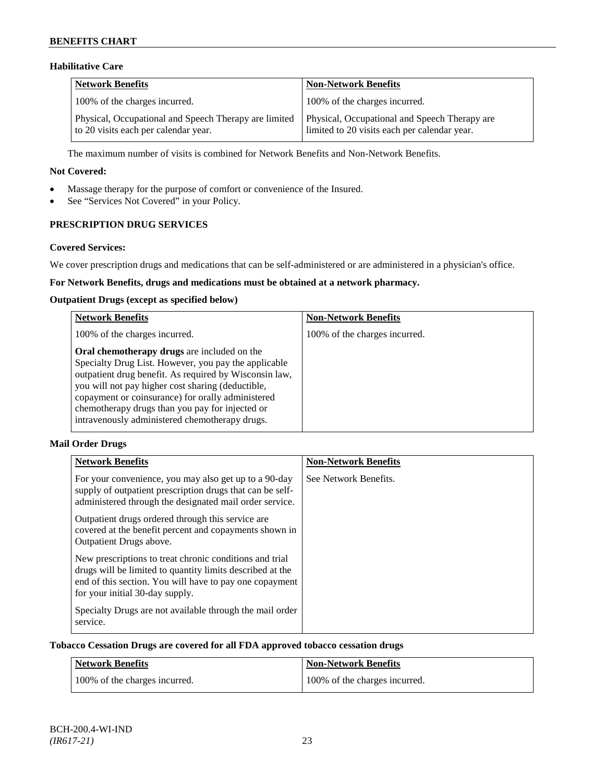### **Habilitative Care**

| Network Benefits                                                                              | <b>Non-Network Benefits</b>                                                                   |
|-----------------------------------------------------------------------------------------------|-----------------------------------------------------------------------------------------------|
| 100% of the charges incurred.                                                                 | 100% of the charges incurred.                                                                 |
| Physical, Occupational and Speech Therapy are limited<br>to 20 visits each per calendar year. | Physical, Occupational and Speech Therapy are<br>limited to 20 visits each per calendar year. |

The maximum number of visits is combined for Network Benefits and Non-Network Benefits.

### **Not Covered:**

- Massage therapy for the purpose of comfort or convenience of the Insured.
- See "Services Not Covered" in your Policy.

## **PRESCRIPTION DRUG SERVICES**

### **Covered Services:**

We cover prescription drugs and medications that can be self-administered or are administered in a physician's office.

### **For Network Benefits, drugs and medications must be obtained at a network pharmacy.**

### **Outpatient Drugs (except as specified below)**

| <b>Network Benefits</b>                                                                                                                                                                                                                                                                                                                                                      | <b>Non-Network Benefits</b>   |
|------------------------------------------------------------------------------------------------------------------------------------------------------------------------------------------------------------------------------------------------------------------------------------------------------------------------------------------------------------------------------|-------------------------------|
| 100% of the charges incurred.                                                                                                                                                                                                                                                                                                                                                | 100% of the charges incurred. |
| Oral chemotherapy drugs are included on the<br>Specialty Drug List. However, you pay the applicable<br>outpatient drug benefit. As required by Wisconsin law,<br>you will not pay higher cost sharing (deductible,<br>copayment or coinsurance) for orally administered<br>chemotherapy drugs than you pay for injected or<br>intravenously administered chemotherapy drugs. |                               |

### **Mail Order Drugs**

| <b>Network Benefits</b>                                                                                                                                                                                            | <b>Non-Network Benefits</b> |
|--------------------------------------------------------------------------------------------------------------------------------------------------------------------------------------------------------------------|-----------------------------|
| For your convenience, you may also get up to a 90-day<br>supply of outpatient prescription drugs that can be self-<br>administered through the designated mail order service.                                      | See Network Benefits.       |
| Outpatient drugs ordered through this service are.<br>covered at the benefit percent and copayments shown in<br>Outpatient Drugs above.                                                                            |                             |
| New prescriptions to treat chronic conditions and trial<br>drugs will be limited to quantity limits described at the<br>end of this section. You will have to pay one copayment<br>for your initial 30-day supply. |                             |
| Specialty Drugs are not available through the mail order<br>service.                                                                                                                                               |                             |

### **Tobacco Cessation Drugs are covered for all FDA approved tobacco cessation drugs**

| Network Benefits              | <b>Non-Network Benefits</b>   |
|-------------------------------|-------------------------------|
| 100% of the charges incurred. | 100% of the charges incurred. |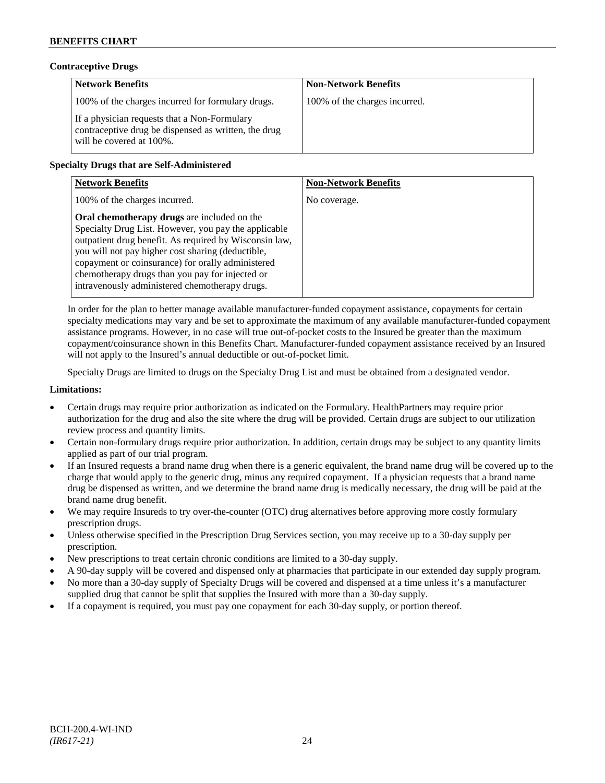### **Contraceptive Drugs**

| <b>Network Benefits</b>                                                                                                          | <b>Non-Network Benefits</b>   |
|----------------------------------------------------------------------------------------------------------------------------------|-------------------------------|
| 100% of the charges incurred for formulary drugs.                                                                                | 100% of the charges incurred. |
| If a physician requests that a Non-Formulary<br>contraceptive drug be dispensed as written, the drug<br>will be covered at 100%. |                               |

## **Specialty Drugs that are Self-Administered**

| <b>Network Benefits</b>                                                                                                                                                                                                                                                                                                                                                      | <b>Non-Network Benefits</b> |
|------------------------------------------------------------------------------------------------------------------------------------------------------------------------------------------------------------------------------------------------------------------------------------------------------------------------------------------------------------------------------|-----------------------------|
| 100% of the charges incurred.                                                                                                                                                                                                                                                                                                                                                | No coverage.                |
| Oral chemotherapy drugs are included on the<br>Specialty Drug List. However, you pay the applicable<br>outpatient drug benefit. As required by Wisconsin law,<br>you will not pay higher cost sharing (deductible,<br>copayment or coinsurance) for orally administered<br>chemotherapy drugs than you pay for injected or<br>intravenously administered chemotherapy drugs. |                             |

In order for the plan to better manage available manufacturer-funded copayment assistance, copayments for certain specialty medications may vary and be set to approximate the maximum of any available manufacturer-funded copayment assistance programs. However, in no case will true out-of-pocket costs to the Insured be greater than the maximum copayment/coinsurance shown in this Benefits Chart. Manufacturer-funded copayment assistance received by an Insured will not apply to the Insured's annual deductible or out-of-pocket limit.

Specialty Drugs are limited to drugs on the Specialty Drug List and must be obtained from a designated vendor.

### **Limitations:**

- Certain drugs may require prior authorization as indicated on the Formulary. HealthPartners may require prior authorization for the drug and also the site where the drug will be provided. Certain drugs are subject to our utilization review process and quantity limits.
- Certain non-formulary drugs require prior authorization. In addition, certain drugs may be subject to any quantity limits applied as part of our trial program.
- If an Insured requests a brand name drug when there is a generic equivalent, the brand name drug will be covered up to the charge that would apply to the generic drug, minus any required copayment. If a physician requests that a brand name drug be dispensed as written, and we determine the brand name drug is medically necessary, the drug will be paid at the brand name drug benefit.
- We may require Insureds to try over-the-counter (OTC) drug alternatives before approving more costly formulary prescription drugs.
- Unless otherwise specified in the Prescription Drug Services section, you may receive up to a 30-day supply per prescription.
- New prescriptions to treat certain chronic conditions are limited to a 30-day supply.
- A 90-day supply will be covered and dispensed only at pharmacies that participate in our extended day supply program.
- No more than a 30-day supply of Specialty Drugs will be covered and dispensed at a time unless it's a manufacturer supplied drug that cannot be split that supplies the Insured with more than a 30-day supply.
- If a copayment is required, you must pay one copayment for each 30-day supply, or portion thereof.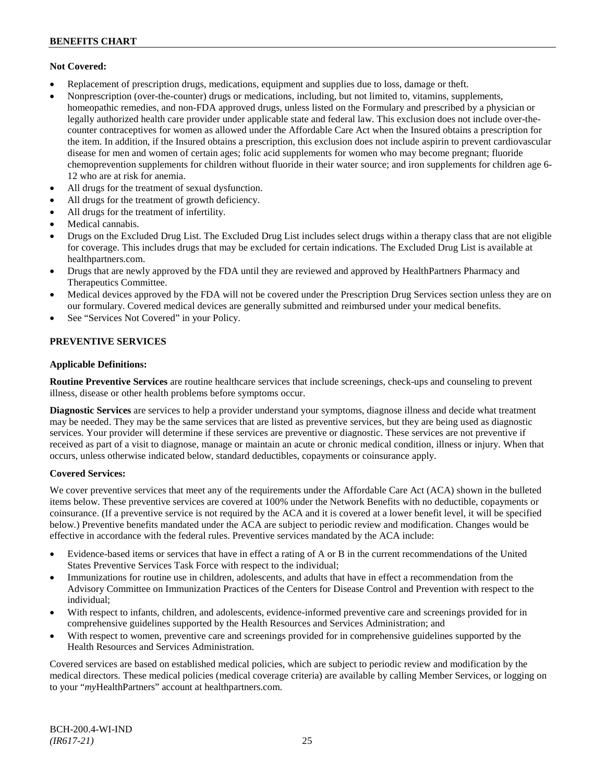### **Not Covered:**

- Replacement of prescription drugs, medications, equipment and supplies due to loss, damage or theft.
- Nonprescription (over-the-counter) drugs or medications, including, but not limited to, vitamins, supplements, homeopathic remedies, and non-FDA approved drugs, unless listed on the Formulary and prescribed by a physician or legally authorized health care provider under applicable state and federal law. This exclusion does not include over-thecounter contraceptives for women as allowed under the Affordable Care Act when the Insured obtains a prescription for the item. In addition, if the Insured obtains a prescription, this exclusion does not include aspirin to prevent cardiovascular disease for men and women of certain ages; folic acid supplements for women who may become pregnant; fluoride chemoprevention supplements for children without fluoride in their water source; and iron supplements for children age 6- 12 who are at risk for anemia.
- All drugs for the treatment of sexual dysfunction.
- All drugs for the treatment of growth deficiency.
- All drugs for the treatment of infertility.
- Medical cannabis.
- Drugs on the Excluded Drug List. The Excluded Drug List includes select drugs within a therapy class that are not eligible for coverage. This includes drugs that may be excluded for certain indications. The Excluded Drug List is available at [healthpartners.com.](http://www.healthpartners.com/)
- Drugs that are newly approved by the FDA until they are reviewed and approved by HealthPartners Pharmacy and Therapeutics Committee.
- Medical devices approved by the FDA will not be covered under the Prescription Drug Services section unless they are on our formulary. Covered medical devices are generally submitted and reimbursed under your medical benefits.
- See "Services Not Covered" in your Policy.

### **PREVENTIVE SERVICES**

### **Applicable Definitions:**

**Routine Preventive Services** are routine healthcare services that include screenings, check-ups and counseling to prevent illness, disease or other health problems before symptoms occur.

**Diagnostic Services** are services to help a provider understand your symptoms, diagnose illness and decide what treatment may be needed. They may be the same services that are listed as preventive services, but they are being used as diagnostic services. Your provider will determine if these services are preventive or diagnostic. These services are not preventive if received as part of a visit to diagnose, manage or maintain an acute or chronic medical condition, illness or injury. When that occurs, unless otherwise indicated below, standard deductibles, copayments or coinsurance apply.

#### **Covered Services:**

We cover preventive services that meet any of the requirements under the Affordable Care Act (ACA) shown in the bulleted items below. These preventive services are covered at 100% under the Network Benefits with no deductible, copayments or coinsurance. (If a preventive service is not required by the ACA and it is covered at a lower benefit level, it will be specified below.) Preventive benefits mandated under the ACA are subject to periodic review and modification. Changes would be effective in accordance with the federal rules. Preventive services mandated by the ACA include:

- Evidence-based items or services that have in effect a rating of A or B in the current recommendations of the United States Preventive Services Task Force with respect to the individual;
- Immunizations for routine use in children, adolescents, and adults that have in effect a recommendation from the Advisory Committee on Immunization Practices of the Centers for Disease Control and Prevention with respect to the individual;
- With respect to infants, children, and adolescents, evidence-informed preventive care and screenings provided for in comprehensive guidelines supported by the Health Resources and Services Administration; and
- With respect to women, preventive care and screenings provided for in comprehensive guidelines supported by the Health Resources and Services Administration.

Covered services are based on established medical policies, which are subject to periodic review and modification by the medical directors. These medical policies (medical coverage criteria) are available by calling Member Services, or logging on to your "*my*HealthPartners" account at [healthpartners.com.](http://www.healthpartners.com/)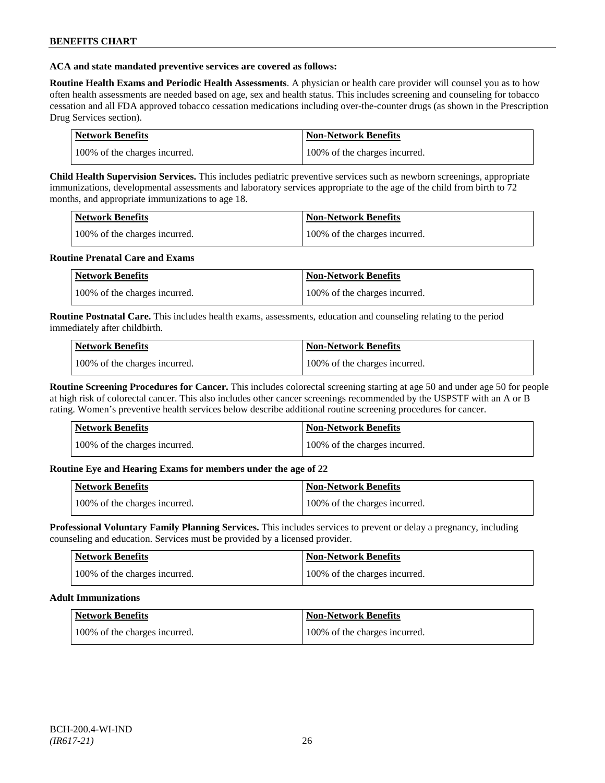### **ACA and state mandated preventive services are covered as follows:**

**Routine Health Exams and Periodic Health Assessments**. A physician or health care provider will counsel you as to how often health assessments are needed based on age, sex and health status. This includes screening and counseling for tobacco cessation and all FDA approved tobacco cessation medications including over-the-counter drugs (as shown in the Prescription Drug Services section).

| Network Benefits              | Non-Network Benefits          |
|-------------------------------|-------------------------------|
| 100% of the charges incurred. | 100% of the charges incurred. |

**Child Health Supervision Services.** This includes pediatric preventive services such as newborn screenings, appropriate immunizations, developmental assessments and laboratory services appropriate to the age of the child from birth to 72 months, and appropriate immunizations to age 18.

| <b>Network Benefits</b>       | <b>Non-Network Benefits</b>   |
|-------------------------------|-------------------------------|
| 100% of the charges incurred. | 100% of the charges incurred. |

### **Routine Prenatal Care and Exams**

| Network Benefits              | Non-Network Benefits          |
|-------------------------------|-------------------------------|
| 100% of the charges incurred. | 100% of the charges incurred. |

**Routine Postnatal Care.** This includes health exams, assessments, education and counseling relating to the period immediately after childbirth.

| <b>Network Benefits</b>       | Non-Network Benefits          |
|-------------------------------|-------------------------------|
| 100% of the charges incurred. | 100% of the charges incurred. |

**Routine Screening Procedures for Cancer.** This includes colorectal screening starting at age 50 and under age 50 for people at high risk of colorectal cancer. This also includes other cancer screenings recommended by the USPSTF with an A or B rating. Women's preventive health services below describe additional routine screening procedures for cancer.

| Network Benefits              | <b>Non-Network Benefits</b>   |
|-------------------------------|-------------------------------|
| 100% of the charges incurred. | 100% of the charges incurred. |

### **Routine Eye and Hearing Exams for members under the age of 22**

| Network Benefits              | <b>Non-Network Benefits</b>   |
|-------------------------------|-------------------------------|
| 100% of the charges incurred. | 100% of the charges incurred. |

**Professional Voluntary Family Planning Services.** This includes services to prevent or delay a pregnancy, including counseling and education. Services must be provided by a licensed provider.

| <b>Network Benefits</b>       | <b>Non-Network Benefits</b>   |
|-------------------------------|-------------------------------|
| 100% of the charges incurred. | 100% of the charges incurred. |

#### **Adult Immunizations**

| <b>Network Benefits</b>       | <b>Non-Network Benefits</b>   |
|-------------------------------|-------------------------------|
| 100% of the charges incurred. | 100% of the charges incurred. |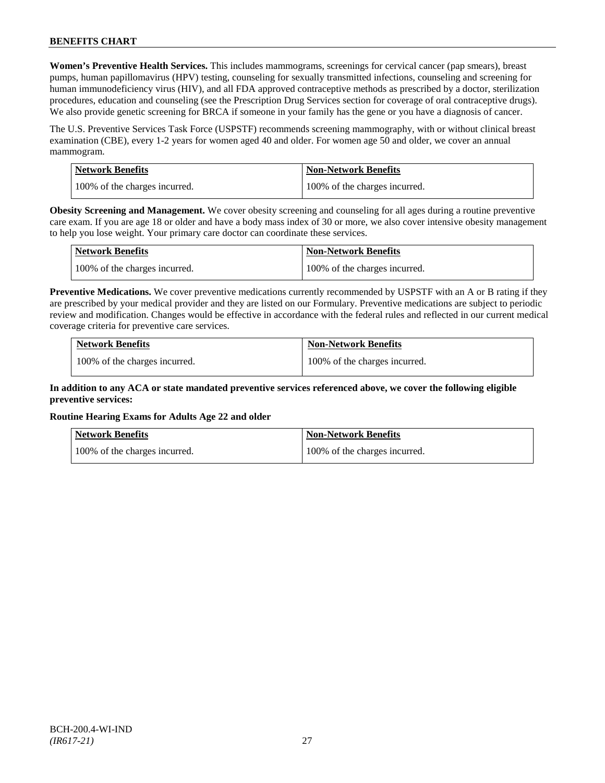**Women's Preventive Health Services.** This includes mammograms, screenings for cervical cancer (pap smears), breast pumps, human papillomavirus (HPV) testing, counseling for sexually transmitted infections, counseling and screening for human immunodeficiency virus (HIV), and all FDA approved contraceptive methods as prescribed by a doctor, sterilization procedures, education and counseling (see the Prescription Drug Services section for coverage of oral contraceptive drugs). We also provide genetic screening for BRCA if someone in your family has the gene or you have a diagnosis of cancer.

The U.S. Preventive Services Task Force (USPSTF) recommends screening mammography, with or without clinical breast examination (CBE), every 1-2 years for women aged 40 and older. For women age 50 and older, we cover an annual mammogram.

| Network Benefits              | <b>Non-Network Benefits</b>   |
|-------------------------------|-------------------------------|
| 100% of the charges incurred. | 100% of the charges incurred. |

**Obesity Screening and Management.** We cover obesity screening and counseling for all ages during a routine preventive care exam. If you are age 18 or older and have a body mass index of 30 or more, we also cover intensive obesity management to help you lose weight. Your primary care doctor can coordinate these services.

| <b>Network Benefits</b>       | <b>Non-Network Benefits</b>   |
|-------------------------------|-------------------------------|
| 100% of the charges incurred. | 100% of the charges incurred. |

**Preventive Medications.** We cover preventive medications currently recommended by USPSTF with an A or B rating if they are prescribed by your medical provider and they are listed on our Formulary. Preventive medications are subject to periodic review and modification. Changes would be effective in accordance with the federal rules and reflected in our current medical coverage criteria for preventive care services.

| <b>Network Benefits</b>       | <b>Non-Network Benefits</b>   |
|-------------------------------|-------------------------------|
| 100% of the charges incurred. | 100% of the charges incurred. |

### **In addition to any ACA or state mandated preventive services referenced above, we cover the following eligible preventive services:**

### **Routine Hearing Exams for Adults Age 22 and older**

| <b>Network Benefits</b>       | <b>Non-Network Benefits</b>   |
|-------------------------------|-------------------------------|
| 100% of the charges incurred. | 100% of the charges incurred. |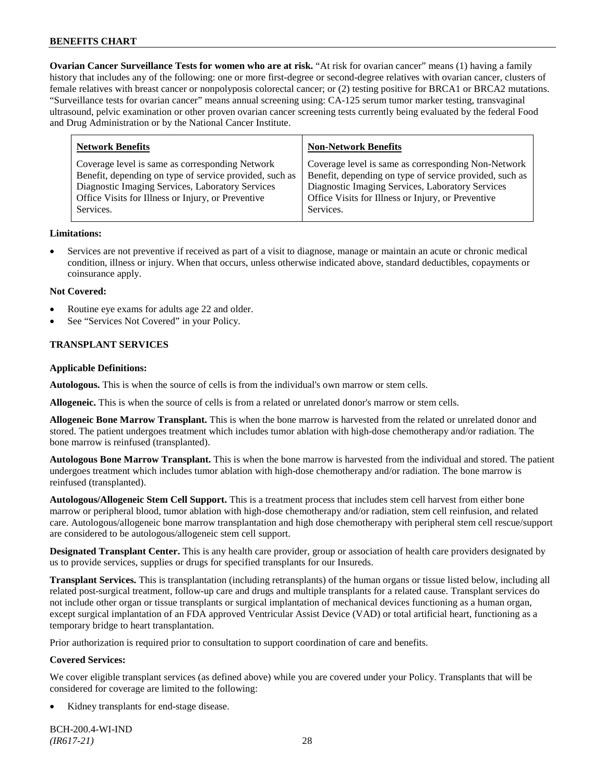**Ovarian Cancer Surveillance Tests for women who are at risk.** "At risk for ovarian cancer" means (1) having a family history that includes any of the following: one or more first-degree or second-degree relatives with ovarian cancer, clusters of female relatives with breast cancer or nonpolyposis colorectal cancer; or (2) testing positive for BRCA1 or BRCA2 mutations. "Surveillance tests for ovarian cancer" means annual screening using: CA-125 serum tumor marker testing, transvaginal ultrasound, pelvic examination or other proven ovarian cancer screening tests currently being evaluated by the federal Food and Drug Administration or by the National Cancer Institute.

| <b>Non-Network Benefits</b>                             |
|---------------------------------------------------------|
| Coverage level is same as corresponding Non-Network     |
| Benefit, depending on type of service provided, such as |
| Diagnostic Imaging Services, Laboratory Services        |
| Office Visits for Illness or Injury, or Preventive      |
| Services.                                               |
|                                                         |

### **Limitations:**

• Services are not preventive if received as part of a visit to diagnose, manage or maintain an acute or chronic medical condition, illness or injury. When that occurs, unless otherwise indicated above, standard deductibles, copayments or coinsurance apply.

### **Not Covered:**

- Routine eye exams for adults age 22 and older.
- See "Services Not Covered" in your Policy.

### **TRANSPLANT SERVICES**

### **Applicable Definitions:**

**Autologous.** This is when the source of cells is from the individual's own marrow or stem cells.

**Allogeneic.** This is when the source of cells is from a related or unrelated donor's marrow or stem cells.

**Allogeneic Bone Marrow Transplant.** This is when the bone marrow is harvested from the related or unrelated donor and stored. The patient undergoes treatment which includes tumor ablation with high-dose chemotherapy and/or radiation. The bone marrow is reinfused (transplanted).

**Autologous Bone Marrow Transplant.** This is when the bone marrow is harvested from the individual and stored. The patient undergoes treatment which includes tumor ablation with high-dose chemotherapy and/or radiation. The bone marrow is reinfused (transplanted).

**Autologous/Allogeneic Stem Cell Support.** This is a treatment process that includes stem cell harvest from either bone marrow or peripheral blood, tumor ablation with high-dose chemotherapy and/or radiation, stem cell reinfusion, and related care. Autologous/allogeneic bone marrow transplantation and high dose chemotherapy with peripheral stem cell rescue/support are considered to be autologous/allogeneic stem cell support.

**Designated Transplant Center.** This is any health care provider, group or association of health care providers designated by us to provide services, supplies or drugs for specified transplants for our Insureds.

**Transplant Services.** This is transplantation (including retransplants) of the human organs or tissue listed below, including all related post-surgical treatment, follow-up care and drugs and multiple transplants for a related cause. Transplant services do not include other organ or tissue transplants or surgical implantation of mechanical devices functioning as a human organ, except surgical implantation of an FDA approved Ventricular Assist Device (VAD) or total artificial heart, functioning as a temporary bridge to heart transplantation.

Prior authorization is required prior to consultation to support coordination of care and benefits.

### **Covered Services:**

We cover eligible transplant services (as defined above) while you are covered under your Policy. Transplants that will be considered for coverage are limited to the following:

Kidney transplants for end-stage disease.

BCH-200.4-WI-IND *(IR617-21)* 28